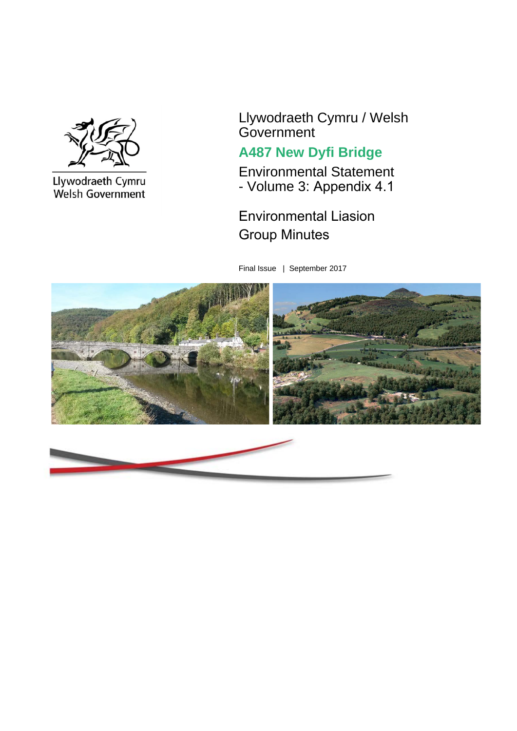

Llywodraeth Cymru<br>Welsh Government

Llywodraeth Cymru / Welsh Government

# **A487 New Dyfi Bridge**

Environmental Statement - Volume 3: Appendix 4.1

Environmental Liasion Group Minutes

Final Issue | September 2017

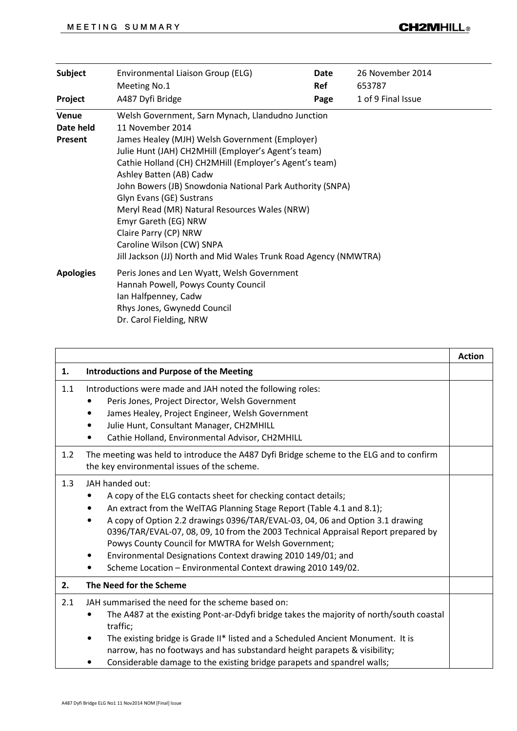| <b>Subject</b>                       | Environmental Liaison Group (ELG)<br>Meeting No.1                                                                                                                                                                                                                                                                                                                                                                                                                                                                                                               | Date<br>Ref | 26 November 2014<br>653787 |  |
|--------------------------------------|-----------------------------------------------------------------------------------------------------------------------------------------------------------------------------------------------------------------------------------------------------------------------------------------------------------------------------------------------------------------------------------------------------------------------------------------------------------------------------------------------------------------------------------------------------------------|-------------|----------------------------|--|
| Project                              | A487 Dyfi Bridge                                                                                                                                                                                                                                                                                                                                                                                                                                                                                                                                                | Page        | 1 of 9 Final Issue         |  |
| <b>Venue</b><br>Date held<br>Present | Welsh Government, Sarn Mynach, Llandudno Junction<br>11 November 2014<br>James Healey (MJH) Welsh Government (Employer)<br>Julie Hunt (JAH) CH2MHill (Employer's Agent's team)<br>Cathie Holland (CH) CH2MHill (Employer's Agent's team)<br>Ashley Batten (AB) Cadw<br>John Bowers (JB) Snowdonia National Park Authority (SNPA)<br>Glyn Evans (GE) Sustrans<br>Meryl Read (MR) Natural Resources Wales (NRW)<br>Emyr Gareth (EG) NRW<br>Claire Parry (CP) NRW<br>Caroline Wilson (CW) SNPA<br>Jill Jackson (JJ) North and Mid Wales Trunk Road Agency (NMWTRA) |             |                            |  |
| <b>Apologies</b>                     | Peris Jones and Len Wyatt, Welsh Government<br>Hannah Powell, Powys County Council<br>Ian Halfpenney, Cadw<br>Rhys Jones, Gwynedd Council<br>Dr. Carol Fielding, NRW                                                                                                                                                                                                                                                                                                                                                                                            |             |                            |  |

|     |                                                                                                                                                                                                                                                                                                                                                                                                                                                                                                                                                | <b>Action</b> |
|-----|------------------------------------------------------------------------------------------------------------------------------------------------------------------------------------------------------------------------------------------------------------------------------------------------------------------------------------------------------------------------------------------------------------------------------------------------------------------------------------------------------------------------------------------------|---------------|
| 1.  | <b>Introductions and Purpose of the Meeting</b>                                                                                                                                                                                                                                                                                                                                                                                                                                                                                                |               |
| 1.1 | Introductions were made and JAH noted the following roles:<br>Peris Jones, Project Director, Welsh Government<br>James Healey, Project Engineer, Welsh Government<br>٠<br>Julie Hunt, Consultant Manager, CH2MHILL<br>٠<br>Cathie Holland, Environmental Advisor, CH2MHILL                                                                                                                                                                                                                                                                     |               |
| 1.2 | The meeting was held to introduce the A487 Dyfi Bridge scheme to the ELG and to confirm<br>the key environmental issues of the scheme.                                                                                                                                                                                                                                                                                                                                                                                                         |               |
| 1.3 | JAH handed out:<br>A copy of the ELG contacts sheet for checking contact details;<br>An extract from the WelTAG Planning Stage Report (Table 4.1 and 8.1);<br>$\bullet$<br>A copy of Option 2.2 drawings 0396/TAR/EVAL-03, 04, 06 and Option 3.1 drawing<br>٠<br>0396/TAR/EVAL-07, 08, 09, 10 from the 2003 Technical Appraisal Report prepared by<br>Powys County Council for MWTRA for Welsh Government;<br>Environmental Designations Context drawing 2010 149/01; and<br>٠<br>Scheme Location - Environmental Context drawing 2010 149/02. |               |
| 2.  | The Need for the Scheme                                                                                                                                                                                                                                                                                                                                                                                                                                                                                                                        |               |
| 2.1 | JAH summarised the need for the scheme based on:<br>The A487 at the existing Pont-ar-Ddyfi bridge takes the majority of north/south coastal<br>traffic;<br>The existing bridge is Grade II* listed and a Scheduled Ancient Monument. It is<br>narrow, has no footways and has substandard height parapets & visibility;<br>Considerable damage to the existing bridge parapets and spandrel walls;                                                                                                                                             |               |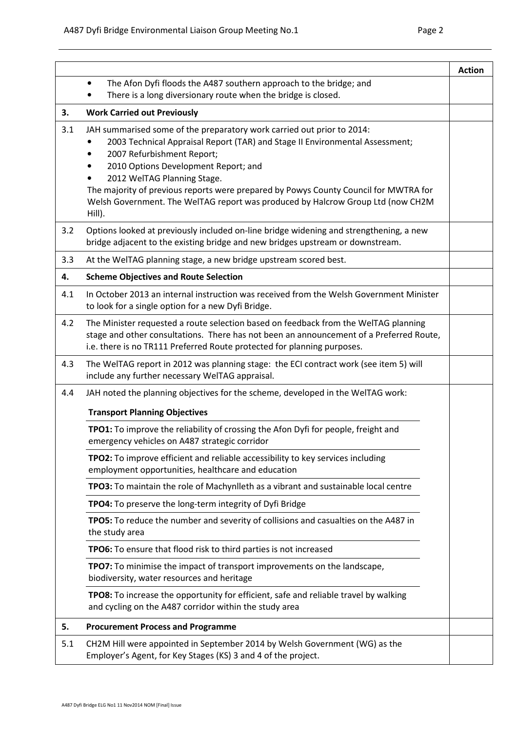|     |                                                                                                                                                                                                                                                                                                                                                                                                                                                       | <b>Action</b> |
|-----|-------------------------------------------------------------------------------------------------------------------------------------------------------------------------------------------------------------------------------------------------------------------------------------------------------------------------------------------------------------------------------------------------------------------------------------------------------|---------------|
|     | The Afon Dyfi floods the A487 southern approach to the bridge; and<br>$\bullet$                                                                                                                                                                                                                                                                                                                                                                       |               |
|     | There is a long diversionary route when the bridge is closed.                                                                                                                                                                                                                                                                                                                                                                                         |               |
| 3.  | <b>Work Carried out Previously</b>                                                                                                                                                                                                                                                                                                                                                                                                                    |               |
| 3.1 | JAH summarised some of the preparatory work carried out prior to 2014:<br>2003 Technical Appraisal Report (TAR) and Stage II Environmental Assessment;<br>2007 Refurbishment Report;<br>٠<br>2010 Options Development Report; and<br>2012 WelTAG Planning Stage.<br>The majority of previous reports were prepared by Powys County Council for MWTRA for<br>Welsh Government. The WelTAG report was produced by Halcrow Group Ltd (now CH2M<br>Hill). |               |
| 3.2 | Options looked at previously included on-line bridge widening and strengthening, a new<br>bridge adjacent to the existing bridge and new bridges upstream or downstream.                                                                                                                                                                                                                                                                              |               |
| 3.3 | At the WelTAG planning stage, a new bridge upstream scored best.                                                                                                                                                                                                                                                                                                                                                                                      |               |
| 4.  | <b>Scheme Objectives and Route Selection</b>                                                                                                                                                                                                                                                                                                                                                                                                          |               |
| 4.1 | In October 2013 an internal instruction was received from the Welsh Government Minister<br>to look for a single option for a new Dyfi Bridge.                                                                                                                                                                                                                                                                                                         |               |
| 4.2 | The Minister requested a route selection based on feedback from the WelTAG planning<br>stage and other consultations. There has not been an announcement of a Preferred Route,<br>i.e. there is no TR111 Preferred Route protected for planning purposes.                                                                                                                                                                                             |               |
| 4.3 | The WelTAG report in 2012 was planning stage: the ECI contract work (see item 5) will<br>include any further necessary WelTAG appraisal.                                                                                                                                                                                                                                                                                                              |               |
| 4.4 | JAH noted the planning objectives for the scheme, developed in the WelTAG work:                                                                                                                                                                                                                                                                                                                                                                       |               |
|     | <b>Transport Planning Objectives</b>                                                                                                                                                                                                                                                                                                                                                                                                                  |               |
|     | TPO1: To improve the reliability of crossing the Afon Dyfi for people, freight and<br>emergency vehicles on A487 strategic corridor                                                                                                                                                                                                                                                                                                                   |               |
|     | TPO2: To improve efficient and reliable accessibility to key services including<br>employment opportunities, healthcare and education                                                                                                                                                                                                                                                                                                                 |               |
|     | TPO3: To maintain the role of Machynlleth as a vibrant and sustainable local centre                                                                                                                                                                                                                                                                                                                                                                   |               |
|     | TPO4: To preserve the long-term integrity of Dyfi Bridge                                                                                                                                                                                                                                                                                                                                                                                              |               |
|     | TPO5: To reduce the number and severity of collisions and casualties on the A487 in<br>the study area                                                                                                                                                                                                                                                                                                                                                 |               |
|     | TPO6: To ensure that flood risk to third parties is not increased                                                                                                                                                                                                                                                                                                                                                                                     |               |
|     | TPO7: To minimise the impact of transport improvements on the landscape,<br>biodiversity, water resources and heritage                                                                                                                                                                                                                                                                                                                                |               |
|     | TPO8: To increase the opportunity for efficient, safe and reliable travel by walking<br>and cycling on the A487 corridor within the study area                                                                                                                                                                                                                                                                                                        |               |
| 5.  | <b>Procurement Process and Programme</b>                                                                                                                                                                                                                                                                                                                                                                                                              |               |
| 5.1 | CH2M Hill were appointed in September 2014 by Welsh Government (WG) as the<br>Employer's Agent, for Key Stages (KS) 3 and 4 of the project.                                                                                                                                                                                                                                                                                                           |               |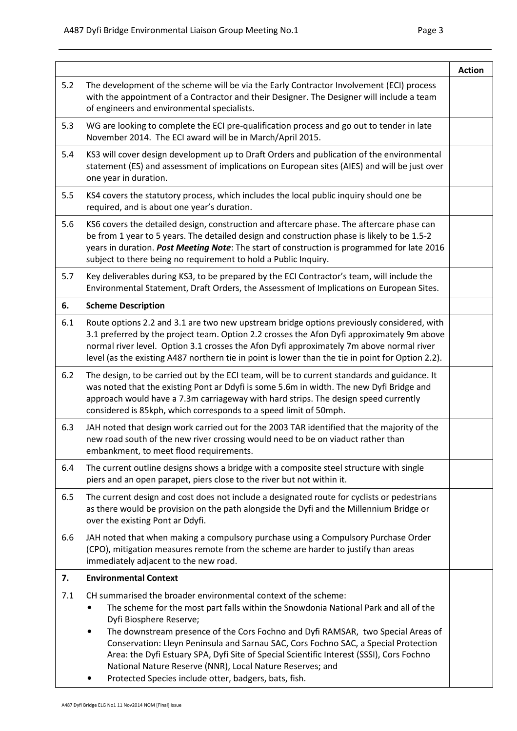|                                                                                                                                                                                                                                                                                         | <b>Action</b>                                                                                                                                                                                                                                                                                                                                                                                                                                                                                                                                                                                                                                                                                                                                                                                                                                                                                                                                                                                                                                                                                                                                                                                                                                                                                                                                                                                                                                                                                                                                                                                                                                                                                                                                                                              |
|-----------------------------------------------------------------------------------------------------------------------------------------------------------------------------------------------------------------------------------------------------------------------------------------|--------------------------------------------------------------------------------------------------------------------------------------------------------------------------------------------------------------------------------------------------------------------------------------------------------------------------------------------------------------------------------------------------------------------------------------------------------------------------------------------------------------------------------------------------------------------------------------------------------------------------------------------------------------------------------------------------------------------------------------------------------------------------------------------------------------------------------------------------------------------------------------------------------------------------------------------------------------------------------------------------------------------------------------------------------------------------------------------------------------------------------------------------------------------------------------------------------------------------------------------------------------------------------------------------------------------------------------------------------------------------------------------------------------------------------------------------------------------------------------------------------------------------------------------------------------------------------------------------------------------------------------------------------------------------------------------------------------------------------------------------------------------------------------------|
| The development of the scheme will be via the Early Contractor Involvement (ECI) process<br>with the appointment of a Contractor and their Designer. The Designer will include a team                                                                                                   |                                                                                                                                                                                                                                                                                                                                                                                                                                                                                                                                                                                                                                                                                                                                                                                                                                                                                                                                                                                                                                                                                                                                                                                                                                                                                                                                                                                                                                                                                                                                                                                                                                                                                                                                                                                            |
| WG are looking to complete the ECI pre-qualification process and go out to tender in late                                                                                                                                                                                               |                                                                                                                                                                                                                                                                                                                                                                                                                                                                                                                                                                                                                                                                                                                                                                                                                                                                                                                                                                                                                                                                                                                                                                                                                                                                                                                                                                                                                                                                                                                                                                                                                                                                                                                                                                                            |
| KS3 will cover design development up to Draft Orders and publication of the environmental<br>statement (ES) and assessment of implications on European sites (AIES) and will be just over                                                                                               |                                                                                                                                                                                                                                                                                                                                                                                                                                                                                                                                                                                                                                                                                                                                                                                                                                                                                                                                                                                                                                                                                                                                                                                                                                                                                                                                                                                                                                                                                                                                                                                                                                                                                                                                                                                            |
| KS4 covers the statutory process, which includes the local public inquiry should one be                                                                                                                                                                                                 |                                                                                                                                                                                                                                                                                                                                                                                                                                                                                                                                                                                                                                                                                                                                                                                                                                                                                                                                                                                                                                                                                                                                                                                                                                                                                                                                                                                                                                                                                                                                                                                                                                                                                                                                                                                            |
| KS6 covers the detailed design, construction and aftercare phase. The aftercare phase can<br>be from 1 year to 5 years. The detailed design and construction phase is likely to be 1.5-2<br>years in duration. Post Meeting Note: The start of construction is programmed for late 2016 |                                                                                                                                                                                                                                                                                                                                                                                                                                                                                                                                                                                                                                                                                                                                                                                                                                                                                                                                                                                                                                                                                                                                                                                                                                                                                                                                                                                                                                                                                                                                                                                                                                                                                                                                                                                            |
| Key deliverables during KS3, to be prepared by the ECI Contractor's team, will include the                                                                                                                                                                                              |                                                                                                                                                                                                                                                                                                                                                                                                                                                                                                                                                                                                                                                                                                                                                                                                                                                                                                                                                                                                                                                                                                                                                                                                                                                                                                                                                                                                                                                                                                                                                                                                                                                                                                                                                                                            |
|                                                                                                                                                                                                                                                                                         |                                                                                                                                                                                                                                                                                                                                                                                                                                                                                                                                                                                                                                                                                                                                                                                                                                                                                                                                                                                                                                                                                                                                                                                                                                                                                                                                                                                                                                                                                                                                                                                                                                                                                                                                                                                            |
|                                                                                                                                                                                                                                                                                         |                                                                                                                                                                                                                                                                                                                                                                                                                                                                                                                                                                                                                                                                                                                                                                                                                                                                                                                                                                                                                                                                                                                                                                                                                                                                                                                                                                                                                                                                                                                                                                                                                                                                                                                                                                                            |
|                                                                                                                                                                                                                                                                                         |                                                                                                                                                                                                                                                                                                                                                                                                                                                                                                                                                                                                                                                                                                                                                                                                                                                                                                                                                                                                                                                                                                                                                                                                                                                                                                                                                                                                                                                                                                                                                                                                                                                                                                                                                                                            |
|                                                                                                                                                                                                                                                                                         |                                                                                                                                                                                                                                                                                                                                                                                                                                                                                                                                                                                                                                                                                                                                                                                                                                                                                                                                                                                                                                                                                                                                                                                                                                                                                                                                                                                                                                                                                                                                                                                                                                                                                                                                                                                            |
|                                                                                                                                                                                                                                                                                         |                                                                                                                                                                                                                                                                                                                                                                                                                                                                                                                                                                                                                                                                                                                                                                                                                                                                                                                                                                                                                                                                                                                                                                                                                                                                                                                                                                                                                                                                                                                                                                                                                                                                                                                                                                                            |
|                                                                                                                                                                                                                                                                                         |                                                                                                                                                                                                                                                                                                                                                                                                                                                                                                                                                                                                                                                                                                                                                                                                                                                                                                                                                                                                                                                                                                                                                                                                                                                                                                                                                                                                                                                                                                                                                                                                                                                                                                                                                                                            |
|                                                                                                                                                                                                                                                                                         |                                                                                                                                                                                                                                                                                                                                                                                                                                                                                                                                                                                                                                                                                                                                                                                                                                                                                                                                                                                                                                                                                                                                                                                                                                                                                                                                                                                                                                                                                                                                                                                                                                                                                                                                                                                            |
|                                                                                                                                                                                                                                                                                         |                                                                                                                                                                                                                                                                                                                                                                                                                                                                                                                                                                                                                                                                                                                                                                                                                                                                                                                                                                                                                                                                                                                                                                                                                                                                                                                                                                                                                                                                                                                                                                                                                                                                                                                                                                                            |
|                                                                                                                                                                                                                                                                                         |                                                                                                                                                                                                                                                                                                                                                                                                                                                                                                                                                                                                                                                                                                                                                                                                                                                                                                                                                                                                                                                                                                                                                                                                                                                                                                                                                                                                                                                                                                                                                                                                                                                                                                                                                                                            |
|                                                                                                                                                                                                                                                                                         | Environmental Statement, Draft Orders, the Assessment of Implications on European Sites.<br>Route options 2.2 and 3.1 are two new upstream bridge options previously considered, with<br>3.1 preferred by the project team. Option 2.2 crosses the Afon Dyfi approximately 9m above<br>normal river level. Option 3.1 crosses the Afon Dyfi approximately 7m above normal river<br>level (as the existing A487 northern tie in point is lower than the tie in point for Option 2.2).<br>The design, to be carried out by the ECI team, will be to current standards and guidance. It<br>was noted that the existing Pont ar Ddyfi is some 5.6m in width. The new Dyfi Bridge and<br>approach would have a 7.3m carriageway with hard strips. The design speed currently<br>JAH noted that design work carried out for the 2003 TAR identified that the majority of the<br>new road south of the new river crossing would need to be on viaduct rather than<br>The current outline designs shows a bridge with a composite steel structure with single<br>The current design and cost does not include a designated route for cyclists or pedestrians<br>as there would be provision on the path alongside the Dyfi and the Millennium Bridge or<br>JAH noted that when making a compulsory purchase using a Compulsory Purchase Order<br>(CPO), mitigation measures remote from the scheme are harder to justify than areas<br>The scheme for the most part falls within the Snowdonia National Park and all of the<br>The downstream presence of the Cors Fochno and Dyfi RAMSAR, two Special Areas of<br>Conservation: Lleyn Peninsula and Sarnau SAC, Cors Fochno SAC, a Special Protection<br>Area: the Dyfi Estuary SPA, Dyfi Site of Special Scientific Interest (SSSI), Cors Fochno |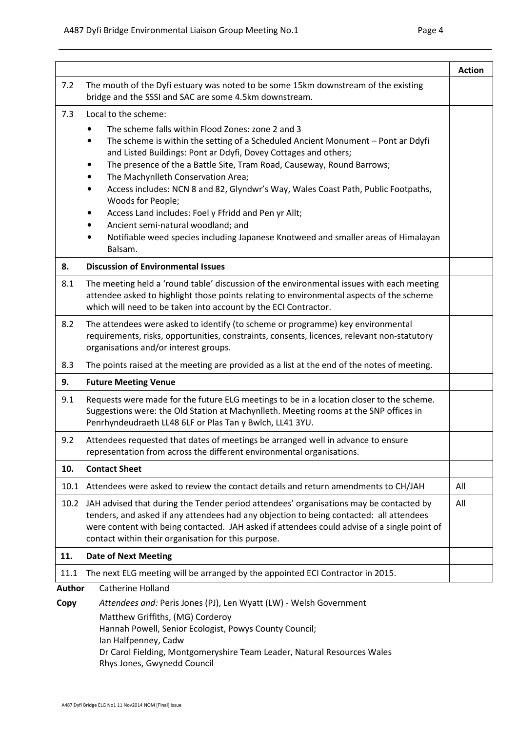|                       |                                                                                                                                                                                                                                                                                                                                                                                                                                                                                                                                                                                                                                                                        | <b>Action</b> |
|-----------------------|------------------------------------------------------------------------------------------------------------------------------------------------------------------------------------------------------------------------------------------------------------------------------------------------------------------------------------------------------------------------------------------------------------------------------------------------------------------------------------------------------------------------------------------------------------------------------------------------------------------------------------------------------------------------|---------------|
| 7.2                   | The mouth of the Dyfi estuary was noted to be some 15km downstream of the existing<br>bridge and the SSSI and SAC are some 4.5km downstream.                                                                                                                                                                                                                                                                                                                                                                                                                                                                                                                           |               |
| 7.3                   | Local to the scheme:<br>The scheme falls within Flood Zones: zone 2 and 3<br>The scheme is within the setting of a Scheduled Ancient Monument - Pont ar Ddyfi<br>$\bullet$<br>and Listed Buildings: Pont ar Ddyfi, Dovey Cottages and others;<br>The presence of the a Battle Site, Tram Road, Causeway, Round Barrows;<br>The Machynlleth Conservation Area;<br>Access includes: NCN 8 and 82, Glyndwr's Way, Wales Coast Path, Public Footpaths,<br>Woods for People;<br>Access Land includes: Foel y Ffridd and Pen yr Allt;<br>Ancient semi-natural woodland; and<br>Notifiable weed species including Japanese Knotweed and smaller areas of Himalayan<br>Balsam. |               |
| 8.                    | <b>Discussion of Environmental Issues</b>                                                                                                                                                                                                                                                                                                                                                                                                                                                                                                                                                                                                                              |               |
| 8.1                   | The meeting held a 'round table' discussion of the environmental issues with each meeting<br>attendee asked to highlight those points relating to environmental aspects of the scheme<br>which will need to be taken into account by the ECI Contractor.                                                                                                                                                                                                                                                                                                                                                                                                               |               |
| 8.2                   | The attendees were asked to identify (to scheme or programme) key environmental<br>requirements, risks, opportunities, constraints, consents, licences, relevant non-statutory<br>organisations and/or interest groups.                                                                                                                                                                                                                                                                                                                                                                                                                                                |               |
| 8.3                   | The points raised at the meeting are provided as a list at the end of the notes of meeting.                                                                                                                                                                                                                                                                                                                                                                                                                                                                                                                                                                            |               |
| 9.                    | <b>Future Meeting Venue</b>                                                                                                                                                                                                                                                                                                                                                                                                                                                                                                                                                                                                                                            |               |
| 9.1                   | Requests were made for the future ELG meetings to be in a location closer to the scheme.<br>Suggestions were: the Old Station at Machynlleth. Meeting rooms at the SNP offices in<br>Penrhyndeudraeth LL48 6LF or Plas Tan y Bwlch, LL41 3YU.                                                                                                                                                                                                                                                                                                                                                                                                                          |               |
| 9.2                   | Attendees requested that dates of meetings be arranged well in advance to ensure<br>representation from across the different environmental organisations.                                                                                                                                                                                                                                                                                                                                                                                                                                                                                                              |               |
| 10.                   | <b>Contact Sheet</b>                                                                                                                                                                                                                                                                                                                                                                                                                                                                                                                                                                                                                                                   |               |
| 10.1                  | Attendees were asked to review the contact details and return amendments to CH/JAH                                                                                                                                                                                                                                                                                                                                                                                                                                                                                                                                                                                     | All           |
|                       | 10.2 JAH advised that during the Tender period attendees' organisations may be contacted by<br>tenders, and asked if any attendees had any objection to being contacted: all attendees<br>were content with being contacted. JAH asked if attendees could advise of a single point of<br>contact within their organisation for this purpose.                                                                                                                                                                                                                                                                                                                           | All           |
| 11.                   | <b>Date of Next Meeting</b>                                                                                                                                                                                                                                                                                                                                                                                                                                                                                                                                                                                                                                            |               |
| 11.1                  | The next ELG meeting will be arranged by the appointed ECI Contractor in 2015.                                                                                                                                                                                                                                                                                                                                                                                                                                                                                                                                                                                         |               |
| <b>Author</b><br>Copy | Catherine Holland<br>Attendees and: Peris Jones (PJ), Len Wyatt (LW) - Welsh Government<br>Matthew Griffiths, (MG) Corderoy<br>Hannah Powell, Senior Ecologist, Powys County Council;<br>Ian Halfpenney, Cadw<br>Dr Carol Fielding, Montgomeryshire Team Leader, Natural Resources Wales<br>Rhys Jones, Gwynedd Council                                                                                                                                                                                                                                                                                                                                                |               |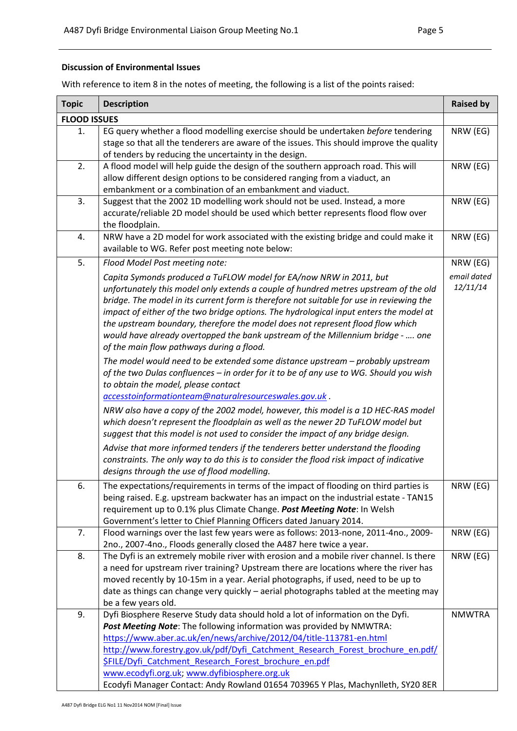### Discussion of Environmental Issues

With reference to item 8 in the notes of meeting, the following is a list of the points raised:

| <b>Topic</b>        | <b>Description</b>                                                                                                                                                                                                                                                                                                                                                                                                                                                                                                                                                 | <b>Raised by</b>        |
|---------------------|--------------------------------------------------------------------------------------------------------------------------------------------------------------------------------------------------------------------------------------------------------------------------------------------------------------------------------------------------------------------------------------------------------------------------------------------------------------------------------------------------------------------------------------------------------------------|-------------------------|
| <b>FLOOD ISSUES</b> |                                                                                                                                                                                                                                                                                                                                                                                                                                                                                                                                                                    |                         |
| 1.                  | EG query whether a flood modelling exercise should be undertaken before tendering<br>stage so that all the tenderers are aware of the issues. This should improve the quality<br>of tenders by reducing the uncertainty in the design.                                                                                                                                                                                                                                                                                                                             | NRW (EG)                |
| 2.                  | A flood model will help guide the design of the southern approach road. This will<br>allow different design options to be considered ranging from a viaduct, an<br>embankment or a combination of an embankment and viaduct.                                                                                                                                                                                                                                                                                                                                       | NRW (EG)                |
| 3.                  | Suggest that the 2002 1D modelling work should not be used. Instead, a more<br>accurate/reliable 2D model should be used which better represents flood flow over<br>the floodplain.                                                                                                                                                                                                                                                                                                                                                                                | NRW (EG)                |
| 4.                  | NRW have a 2D model for work associated with the existing bridge and could make it<br>available to WG. Refer post meeting note below:                                                                                                                                                                                                                                                                                                                                                                                                                              | NRW (EG)                |
| 5.                  | Flood Model Post meeting note:                                                                                                                                                                                                                                                                                                                                                                                                                                                                                                                                     | NRW (EG)                |
|                     | Capita Symonds produced a TuFLOW model for EA/now NRW in 2011, but<br>unfortunately this model only extends a couple of hundred metres upstream of the old<br>bridge. The model in its current form is therefore not suitable for use in reviewing the<br>impact of either of the two bridge options. The hydrological input enters the model at<br>the upstream boundary, therefore the model does not represent flood flow which<br>would have already overtopped the bank upstream of the Millennium bridge -  one<br>of the main flow pathways during a flood. | email dated<br>12/11/14 |
|                     | The model would need to be extended some distance upstream - probably upstream<br>of the two Dulas confluences - in order for it to be of any use to WG. Should you wish<br>to obtain the model, please contact<br>accesstoinformationteam@naturalresourceswales.gov.uk.<br>NRW also have a copy of the 2002 model, however, this model is a 1D HEC-RAS model                                                                                                                                                                                                      |                         |
|                     | which doesn't represent the floodplain as well as the newer 2D TuFLOW model but<br>suggest that this model is not used to consider the impact of any bridge design.<br>Advise that more informed tenders if the tenderers better understand the flooding<br>constraints. The only way to do this is to consider the flood risk impact of indicative<br>designs through the use of flood modelling.                                                                                                                                                                 |                         |
| 6.                  | The expectations/requirements in terms of the impact of flooding on third parties is<br>being raised. E.g. upstream backwater has an impact on the industrial estate - TAN15<br>requirement up to 0.1% plus Climate Change. Post Meeting Note: In Welsh<br>Government's letter to Chief Planning Officers dated January 2014.                                                                                                                                                                                                                                      | NRW (EG)                |
| 7.                  | Flood warnings over the last few years were as follows: 2013-none, 2011-4no., 2009-<br>2no., 2007-4no., Floods generally closed the A487 here twice a year.                                                                                                                                                                                                                                                                                                                                                                                                        | NRW (EG)                |
| 8.                  | The Dyfi is an extremely mobile river with erosion and a mobile river channel. Is there<br>a need for upstream river training? Upstream there are locations where the river has<br>moved recently by 10-15m in a year. Aerial photographs, if used, need to be up to<br>date as things can change very quickly - aerial photographs tabled at the meeting may<br>be a few years old.                                                                                                                                                                               | NRW (EG)                |
| 9.                  | Dyfi Biosphere Reserve Study data should hold a lot of information on the Dyfi.<br>Post Meeting Note: The following information was provided by NMWTRA:<br>https://www.aber.ac.uk/en/news/archive/2012/04/title-113781-en.html<br>http://www.forestry.gov.uk/pdf/Dyfi Catchment Research Forest brochure en.pdf/<br><b>\$FILE/Dyfi Catchment Research Forest brochure en.pdf</b><br>www.ecodyfi.org.uk; www.dyfibiosphere.org.uk<br>Ecodyfi Manager Contact: Andy Rowland 01654 703965 Y Plas, Machynlleth, SY20 8ER                                               | <b>NMWTRA</b>           |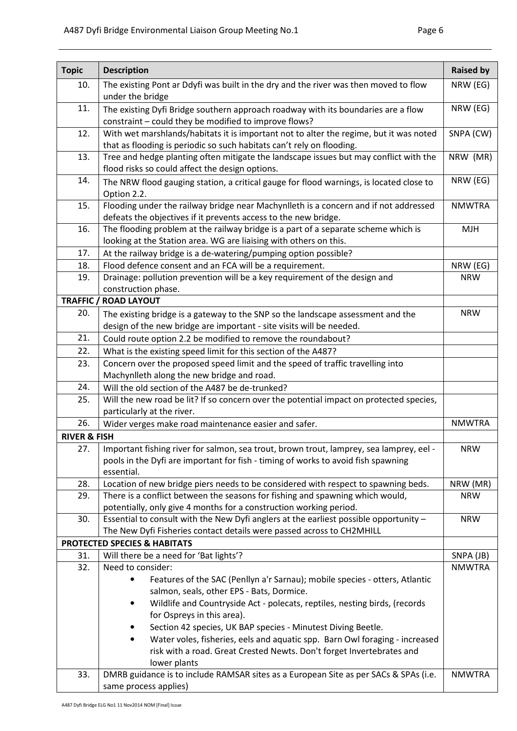| <b>Topic</b>            | <b>Description</b>                                                                                                                                      | <b>Raised by</b>       |
|-------------------------|---------------------------------------------------------------------------------------------------------------------------------------------------------|------------------------|
| 10.                     | The existing Pont ar Ddyfi was built in the dry and the river was then moved to flow                                                                    | NRW (EG)               |
|                         | under the bridge                                                                                                                                        |                        |
| 11.                     | The existing Dyfi Bridge southern approach roadway with its boundaries are a flow                                                                       |                        |
|                         | constraint - could they be modified to improve flows?                                                                                                   |                        |
| 12.                     | With wet marshlands/habitats it is important not to alter the regime, but it was noted                                                                  |                        |
|                         | that as flooding is periodic so such habitats can't rely on flooding.                                                                                   |                        |
| 13.                     | Tree and hedge planting often mitigate the landscape issues but may conflict with the                                                                   | NRW (MR)               |
|                         | flood risks so could affect the design options.                                                                                                         |                        |
| 14.                     | The NRW flood gauging station, a critical gauge for flood warnings, is located close to                                                                 | NRW (EG)               |
|                         | Option 2.2.                                                                                                                                             |                        |
| 15.                     | Flooding under the railway bridge near Machynlleth is a concern and if not addressed                                                                    | <b>NMWTRA</b>          |
|                         | defeats the objectives if it prevents access to the new bridge.                                                                                         |                        |
| 16.                     | The flooding problem at the railway bridge is a part of a separate scheme which is<br>looking at the Station area. WG are liaising with others on this. | <b>MJH</b>             |
| 17.                     | At the railway bridge is a de-watering/pumping option possible?                                                                                         |                        |
| 18.                     | Flood defence consent and an FCA will be a requirement.                                                                                                 | NRW (EG)               |
| 19.                     | Drainage: pollution prevention will be a key requirement of the design and                                                                              | <b>NRW</b>             |
|                         | construction phase.                                                                                                                                     |                        |
|                         | <b>TRAFFIC / ROAD LAYOUT</b>                                                                                                                            |                        |
| 20.                     | The existing bridge is a gateway to the SNP so the landscape assessment and the                                                                         | <b>NRW</b>             |
|                         | design of the new bridge are important - site visits will be needed.                                                                                    |                        |
| 21.                     | Could route option 2.2 be modified to remove the roundabout?                                                                                            |                        |
| 22.                     | What is the existing speed limit for this section of the A487?                                                                                          |                        |
| 23.                     | Concern over the proposed speed limit and the speed of traffic travelling into                                                                          |                        |
|                         | Machynlleth along the new bridge and road.                                                                                                              |                        |
| 24.                     | Will the old section of the A487 be de-trunked?                                                                                                         |                        |
| 25.                     | Will the new road be lit? If so concern over the potential impact on protected species,                                                                 |                        |
|                         | particularly at the river.                                                                                                                              |                        |
| 26.                     | Wider verges make road maintenance easier and safer.                                                                                                    |                        |
| <b>RIVER &amp; FISH</b> |                                                                                                                                                         |                        |
|                         | 27.   Important fishing river for salmon, sea trout, brown trout, lamprey, sea lamprey, eel -                                                           | <b>NRW</b>             |
|                         | pools in the Dyfi are important for fish - timing of works to avoid fish spawning                                                                       |                        |
|                         | essential.                                                                                                                                              |                        |
| 28.                     | Location of new bridge piers needs to be considered with respect to spawning beds.                                                                      | NRW (MR)<br><b>NRW</b> |
| 29.                     | There is a conflict between the seasons for fishing and spawning which would,<br>potentially, only give 4 months for a construction working period.     |                        |
| 30.                     | Essential to consult with the New Dyfi anglers at the earliest possible opportunity -                                                                   | <b>NRW</b>             |
|                         | The New Dyfi Fisheries contact details were passed across to CH2MHILL                                                                                   |                        |
|                         | <b>PROTECTED SPECIES &amp; HABITATS</b>                                                                                                                 |                        |
| 31.                     | Will there be a need for 'Bat lights'?                                                                                                                  | SNPA (JB)              |
| 32.                     | Need to consider:                                                                                                                                       | <b>NMWTRA</b>          |
|                         | Features of the SAC (Penllyn a'r Sarnau); mobile species - otters, Atlantic                                                                             |                        |
|                         | salmon, seals, other EPS - Bats, Dormice.                                                                                                               |                        |
|                         | Wildlife and Countryside Act - polecats, reptiles, nesting birds, (records<br>$\bullet$                                                                 |                        |
|                         | for Ospreys in this area).                                                                                                                              |                        |
|                         | Section 42 species, UK BAP species - Minutest Diving Beetle.<br>$\bullet$                                                                               |                        |
|                         | Water voles, fisheries, eels and aquatic spp. Barn Owl foraging - increased<br>$\bullet$                                                                |                        |
|                         | risk with a road. Great Crested Newts. Don't forget Invertebrates and                                                                                   |                        |
|                         | lower plants<br>DMRB guidance is to include RAMSAR sites as a European Site as per SACs & SPAs (i.e.                                                    | <b>NMWTRA</b>          |
| 33.                     | same process applies)                                                                                                                                   |                        |
|                         |                                                                                                                                                         |                        |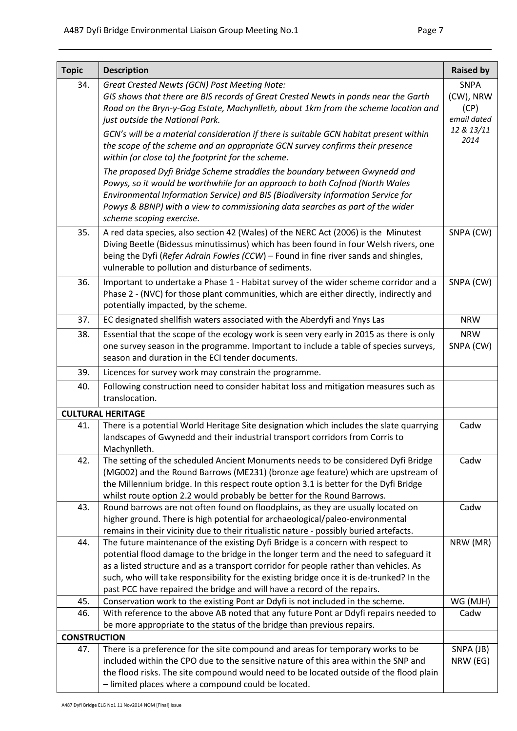| <b>Topic</b>        | <b>Description</b>                                                                                                                                                                                                                                                                                                                                                                                                                       | <b>Raised by</b>                 |  |
|---------------------|------------------------------------------------------------------------------------------------------------------------------------------------------------------------------------------------------------------------------------------------------------------------------------------------------------------------------------------------------------------------------------------------------------------------------------------|----------------------------------|--|
| 34.                 | Great Crested Newts (GCN) Post Meeting Note:                                                                                                                                                                                                                                                                                                                                                                                             | <b>SNPA</b>                      |  |
|                     | GIS shows that there are BIS records of Great Crested Newts in ponds near the Garth<br>Road on the Bryn-y-Gog Estate, Machynlleth, about 1km from the scheme location and<br>just outside the National Park.                                                                                                                                                                                                                             | (CW), NRW<br>(CP)<br>email dated |  |
|                     | GCN's will be a material consideration if there is suitable GCN habitat present within<br>the scope of the scheme and an appropriate GCN survey confirms their presence<br>within (or close to) the footprint for the scheme.                                                                                                                                                                                                            | 12 & 13/11<br>2014               |  |
|                     | The proposed Dyfi Bridge Scheme straddles the boundary between Gwynedd and<br>Powys, so it would be worthwhile for an approach to both Cofnod (North Wales<br>Environmental Information Service) and BIS (Biodiversity Information Service for<br>Powys & BBNP) with a view to commissioning data searches as part of the wider<br>scheme scoping exercise.                                                                              |                                  |  |
| 35.                 | A red data species, also section 42 (Wales) of the NERC Act (2006) is the Minutest<br>Diving Beetle (Bidessus minutissimus) which has been found in four Welsh rivers, one<br>being the Dyfi (Refer Adrain Fowles (CCW) - Found in fine river sands and shingles,<br>vulnerable to pollution and disturbance of sediments.                                                                                                               | SNPA (CW)                        |  |
| 36.                 | Important to undertake a Phase 1 - Habitat survey of the wider scheme corridor and a<br>Phase 2 - (NVC) for those plant communities, which are either directly, indirectly and<br>potentially impacted, by the scheme.                                                                                                                                                                                                                   | SNPA (CW)                        |  |
| 37.                 | EC designated shellfish waters associated with the Aberdyfi and Ynys Las                                                                                                                                                                                                                                                                                                                                                                 | <b>NRW</b>                       |  |
| 38.                 | Essential that the scope of the ecology work is seen very early in 2015 as there is only<br>one survey season in the programme. Important to include a table of species surveys,<br>season and duration in the ECI tender documents.                                                                                                                                                                                                     | <b>NRW</b><br>SNPA (CW)          |  |
| 39.                 | Licences for survey work may constrain the programme.                                                                                                                                                                                                                                                                                                                                                                                    |                                  |  |
| 40.                 | Following construction need to consider habitat loss and mitigation measures such as<br>translocation.                                                                                                                                                                                                                                                                                                                                   |                                  |  |
|                     | <b>CULTURAL HERITAGE</b>                                                                                                                                                                                                                                                                                                                                                                                                                 |                                  |  |
| 41.                 | There is a potential World Heritage Site designation which includes the slate quarrying<br>landscapes of Gwynedd and their industrial transport corridors from Corris to<br>Machynlleth.                                                                                                                                                                                                                                                 | Cadw                             |  |
| 42.                 | The setting of the scheduled Ancient Monuments needs to be considered Dyfi Bridge<br>(MG002) and the Round Barrows (ME231) (bronze age feature) which are upstream of<br>the Millennium bridge. In this respect route option 3.1 is better for the Dyfi Bridge<br>whilst route option 2.2 would probably be better for the Round Barrows.                                                                                                | Cadw                             |  |
| 43.                 | Round barrows are not often found on floodplains, as they are usually located on<br>higher ground. There is high potential for archaeological/paleo-environmental<br>remains in their vicinity due to their ritualistic nature - possibly buried artefacts.                                                                                                                                                                              | Cadw                             |  |
| 44.                 | The future maintenance of the existing Dyfi Bridge is a concern with respect to<br>potential flood damage to the bridge in the longer term and the need to safeguard it<br>as a listed structure and as a transport corridor for people rather than vehicles. As<br>such, who will take responsibility for the existing bridge once it is de-trunked? In the<br>past PCC have repaired the bridge and will have a record of the repairs. | NRW (MR)                         |  |
| 45.                 | Conservation work to the existing Pont ar Ddyfi is not included in the scheme.                                                                                                                                                                                                                                                                                                                                                           | WG (MJH)                         |  |
| 46.                 | With reference to the above AB noted that any future Pont ar Ddyfi repairs needed to<br>be more appropriate to the status of the bridge than previous repairs.                                                                                                                                                                                                                                                                           | Cadw                             |  |
| <b>CONSTRUCTION</b> |                                                                                                                                                                                                                                                                                                                                                                                                                                          |                                  |  |
| 47.                 | There is a preference for the site compound and areas for temporary works to be<br>included within the CPO due to the sensitive nature of this area within the SNP and<br>the flood risks. The site compound would need to be located outside of the flood plain<br>- limited places where a compound could be located.                                                                                                                  | SNPA (JB)<br>NRW (EG)            |  |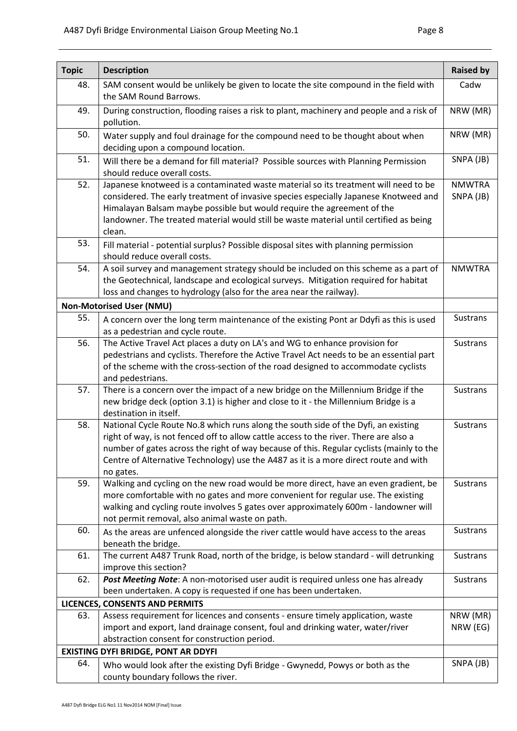| <b>Topic</b> | <b>Description</b>                                                                                                                                                                                                                                                                                                                                                           | <b>Raised by</b>           |
|--------------|------------------------------------------------------------------------------------------------------------------------------------------------------------------------------------------------------------------------------------------------------------------------------------------------------------------------------------------------------------------------------|----------------------------|
| 48.          | SAM consent would be unlikely be given to locate the site compound in the field with<br>the SAM Round Barrows.                                                                                                                                                                                                                                                               | Cadw                       |
| 49.          | During construction, flooding raises a risk to plant, machinery and people and a risk of<br>pollution.                                                                                                                                                                                                                                                                       | NRW (MR)                   |
| 50.          | NRW (MR)<br>Water supply and foul drainage for the compound need to be thought about when<br>deciding upon a compound location.                                                                                                                                                                                                                                              |                            |
| 51.          | Will there be a demand for fill material? Possible sources with Planning Permission<br>should reduce overall costs.                                                                                                                                                                                                                                                          | SNPA (JB)                  |
| 52.          | Japanese knotweed is a contaminated waste material so its treatment will need to be<br>considered. The early treatment of invasive species especially Japanese Knotweed and<br>Himalayan Balsam maybe possible but would require the agreement of the<br>landowner. The treated material would still be waste material until certified as being<br>clean.                    | <b>NMWTRA</b><br>SNPA (JB) |
| 53.          | Fill material - potential surplus? Possible disposal sites with planning permission<br>should reduce overall costs.                                                                                                                                                                                                                                                          |                            |
| 54.          | A soil survey and management strategy should be included on this scheme as a part of<br>the Geotechnical, landscape and ecological surveys. Mitigation required for habitat<br>loss and changes to hydrology (also for the area near the railway).                                                                                                                           | <b>NMWTRA</b>              |
|              | <b>Non-Motorised User (NMU)</b>                                                                                                                                                                                                                                                                                                                                              |                            |
| 55.          | A concern over the long term maintenance of the existing Pont ar Ddyfi as this is used<br>as a pedestrian and cycle route.                                                                                                                                                                                                                                                   | <b>Sustrans</b>            |
| 56.          | The Active Travel Act places a duty on LA's and WG to enhance provision for<br>pedestrians and cyclists. Therefore the Active Travel Act needs to be an essential part<br>of the scheme with the cross-section of the road designed to accommodate cyclists                                                                                                                  | <b>Sustrans</b>            |
| 57.          | and pedestrians.<br>There is a concern over the impact of a new bridge on the Millennium Bridge if the<br>new bridge deck (option 3.1) is higher and close to it - the Millennium Bridge is a<br>destination in itself.                                                                                                                                                      | <b>Sustrans</b>            |
| 58.          | National Cycle Route No.8 which runs along the south side of the Dyfi, an existing<br>right of way, is not fenced off to allow cattle access to the river. There are also a<br>number of gates across the right of way because of this. Regular cyclists (mainly to the<br>Centre of Alternative Technology) use the A487 as it is a more direct route and with<br>no gates. | <b>Sustrans</b>            |
| 59.          | Walking and cycling on the new road would be more direct, have an even gradient, be<br>more comfortable with no gates and more convenient for regular use. The existing<br>walking and cycling route involves 5 gates over approximately 600m - landowner will<br>not permit removal, also animal waste on path.                                                             | <b>Sustrans</b>            |
| 60.          | As the areas are unfenced alongside the river cattle would have access to the areas<br>beneath the bridge.                                                                                                                                                                                                                                                                   | <b>Sustrans</b>            |
| 61.          | The current A487 Trunk Road, north of the bridge, is below standard - will detrunking<br>improve this section?                                                                                                                                                                                                                                                               | <b>Sustrans</b>            |
| 62.          | Post Meeting Note: A non-motorised user audit is required unless one has already<br>been undertaken. A copy is requested if one has been undertaken.                                                                                                                                                                                                                         | <b>Sustrans</b>            |
|              | LICENCES, CONSENTS AND PERMITS                                                                                                                                                                                                                                                                                                                                               |                            |
| 63.          | Assess requirement for licences and consents - ensure timely application, waste<br>import and export, land drainage consent, foul and drinking water, water/river<br>abstraction consent for construction period.                                                                                                                                                            | NRW (MR)<br>NRW (EG)       |
|              | <b>EXISTING DYFI BRIDGE, PONT AR DDYFI</b>                                                                                                                                                                                                                                                                                                                                   |                            |
| 64.          | Who would look after the existing Dyfi Bridge - Gwynedd, Powys or both as the<br>county boundary follows the river.                                                                                                                                                                                                                                                          | SNPA (JB)                  |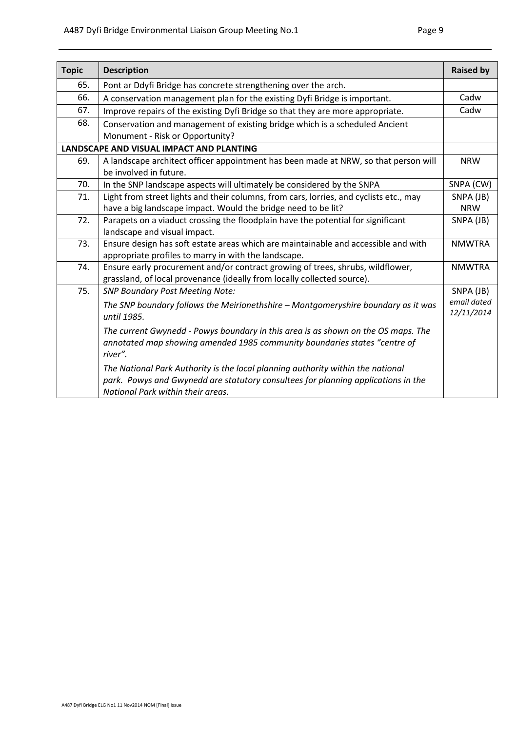| <b>Topic</b> | <b>Description</b>                                                                     | <b>Raised by</b> |
|--------------|----------------------------------------------------------------------------------------|------------------|
| 65.          | Pont ar Ddyfi Bridge has concrete strengthening over the arch.                         |                  |
| 66.          | A conservation management plan for the existing Dyfi Bridge is important.              | Cadw             |
| 67.          | Improve repairs of the existing Dyfi Bridge so that they are more appropriate.         | Cadw             |
| 68.          | Conservation and management of existing bridge which is a scheduled Ancient            |                  |
|              | Monument - Risk or Opportunity?                                                        |                  |
|              | LANDSCAPE AND VISUAL IMPACT AND PLANTING                                               |                  |
| 69.          | A landscape architect officer appointment has been made at NRW, so that person will    | <b>NRW</b>       |
|              | be involved in future.                                                                 |                  |
| 70.          | In the SNP landscape aspects will ultimately be considered by the SNPA                 | SNPA (CW)        |
| 71.          | Light from street lights and their columns, from cars, lorries, and cyclists etc., may | SNPA (JB)        |
|              | have a big landscape impact. Would the bridge need to be lit?                          | <b>NRW</b>       |
| 72.          | Parapets on a viaduct crossing the floodplain have the potential for significant       | SNPA (JB)        |
|              | landscape and visual impact.                                                           |                  |
| 73.          | Ensure design has soft estate areas which are maintainable and accessible and with     | <b>NMWTRA</b>    |
|              | appropriate profiles to marry in with the landscape.                                   |                  |
| 74.          | Ensure early procurement and/or contract growing of trees, shrubs, wildflower,         | <b>NMWTRA</b>    |
|              | grassland, of local provenance (ideally from locally collected source).                |                  |
| 75.          | <b>SNP Boundary Post Meeting Note:</b>                                                 | SNPA (JB)        |
|              | The SNP boundary follows the Meirionethshire - Montgomeryshire boundary as it was      | email dated      |
|              | until 1985.                                                                            | 12/11/2014       |
|              | The current Gwynedd - Powys boundary in this area is as shown on the OS maps. The      |                  |
|              | annotated map showing amended 1985 community boundaries states "centre of              |                  |
|              | river".                                                                                |                  |
|              | The National Park Authority is the local planning authority within the national        |                  |
|              | park. Powys and Gwynedd are statutory consultees for planning applications in the      |                  |
|              | National Park within their areas.                                                      |                  |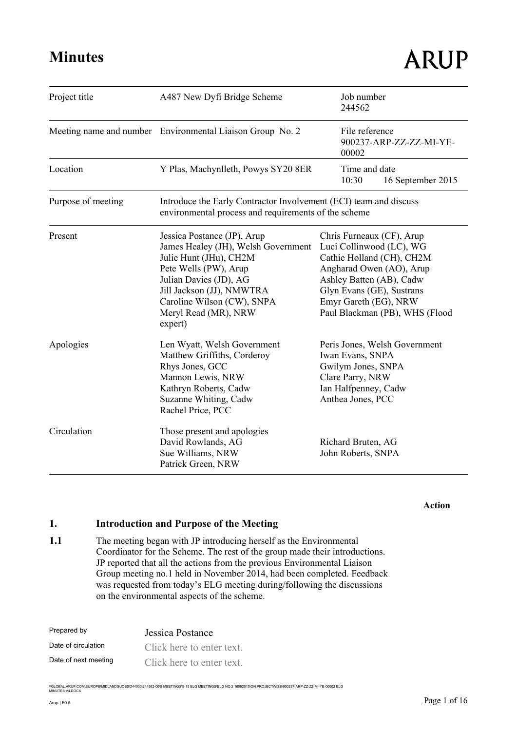| Project title      | Job number<br>A487 New Dyfi Bridge Scheme<br>244562                                                                                                                                                                                           |                                                                                                                                                                                                                                    |  |
|--------------------|-----------------------------------------------------------------------------------------------------------------------------------------------------------------------------------------------------------------------------------------------|------------------------------------------------------------------------------------------------------------------------------------------------------------------------------------------------------------------------------------|--|
|                    | Meeting name and number Environmental Liaison Group No. 2                                                                                                                                                                                     | File reference<br>900237-ARP-ZZ-ZZ-MI-YE-<br>00002                                                                                                                                                                                 |  |
| Location           | Y Plas, Machynlleth, Powys SY20 8ER                                                                                                                                                                                                           | Time and date<br>10:30<br>16 September 2015                                                                                                                                                                                        |  |
| Purpose of meeting | Introduce the Early Contractor Involvement (ECI) team and discuss<br>environmental process and requirements of the scheme                                                                                                                     |                                                                                                                                                                                                                                    |  |
| Present            | Jessica Postance (JP), Arup<br>James Healey (JH), Welsh Government<br>Julie Hunt (JHu), CH2M<br>Pete Wells (PW), Arup<br>Julian Davies (JD), AG<br>Jill Jackson (JJ), NMWTRA<br>Caroline Wilson (CW), SNPA<br>Meryl Read (MR), NRW<br>expert) | Chris Furneaux (CF), Arup<br>Luci Collinwood (LC), WG<br>Cathie Holland (CH), CH2M<br>Angharad Owen (AO), Arup<br>Ashley Batten (AB), Cadw<br>Glyn Evans (GE), Sustrans<br>Emyr Gareth (EG), NRW<br>Paul Blackman (PB), WHS (Flood |  |
| Apologies          | Len Wyatt, Welsh Government<br>Matthew Griffiths, Corderoy<br>Rhys Jones, GCC<br>Mannon Lewis, NRW<br>Kathryn Roberts, Cadw<br>Suzanne Whiting, Cadw<br>Rachel Price, PCC                                                                     | Peris Jones, Welsh Government<br>Iwan Evans, SNPA<br>Gwilym Jones, SNPA<br>Clare Parry, NRW<br>Ian Halfpenney, Cadw<br>Anthea Jones, PCC                                                                                           |  |
| Circulation        | Those present and apologies<br>David Rowlands, AG<br>Sue Williams, NRW<br>Patrick Green, NRW                                                                                                                                                  | Richard Bruten, AG<br>John Roberts, SNPA                                                                                                                                                                                           |  |

#### **Action**

## **1. Introduction and Purpose of the Meeting**

1.1 The meeting began with JP introducing herself as the Environmental Coordinator for the Scheme. The rest of the group made their introductions. JP reported that all the actions from the previous Environmental Liaison Group meeting no.1 held in November 2014, had been completed. Feedback was requested from today's ELG meeting during/following the discussions on the environmental aspects of the scheme.

| Prepared by          | Jessica Postance          |
|----------------------|---------------------------|
| Date of circulation  | Click here to enter text. |
| Date of next meeting | Click here to enter text. |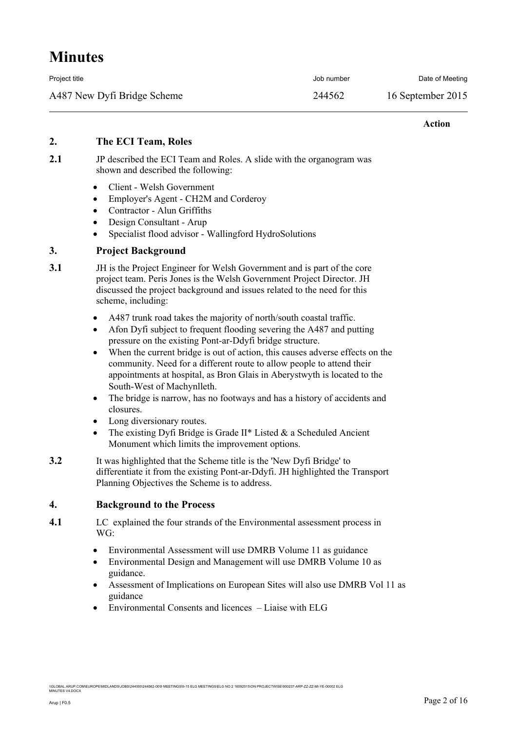| Project title               | Job number | Date of Meeting   |
|-----------------------------|------------|-------------------|
| A487 New Dyfi Bridge Scheme | 244562     | 16 September 2015 |

#### **Action**

### **2. The ECI Team, Roles**

- **2.1** JP described the ECI Team and Roles. A slide with the organogram was shown and described the following:
	- Client Welsh Government
	- Employer's Agent CH2M and Corderoy
	- Contractor Alun Griffiths
	- Design Consultant Arup
	- Specialist flood advisor Wallingford HydroSolutions

### **3. Project Background**

- **3.1** JH is the Project Engineer for Welsh Government and is part of the core project team. Peris Jones is the Welsh Government Project Director. JH discussed the project background and issues related to the need for this scheme, including:
	- A487 trunk road takes the majority of north/south coastal traffic.
	- Afon Dyfi subject to frequent flooding severing the A487 and putting pressure on the existing Pont-ar-Ddyfi bridge structure.
	- When the current bridge is out of action, this causes adverse effects on the community. Need for a different route to allow people to attend their appointments at hospital, as Bron Glais in Aberystwyth is located to the South-West of Machynlleth.
	- The bridge is narrow, has no footways and has a history of accidents and closures.
	- Long diversionary routes.
	- The existing Dyfi Bridge is Grade  $II^*$  Listed  $&$  a Scheduled Ancient Monument which limits the improvement options.
- **3.2** It was highlighted that the Scheme title is the 'New Dyfi Bridge' to differentiate it from the existing Pont-ar-Ddyfi. JH highlighted the Transport Planning Objectives the Scheme is to address.

### **4. Background to the Process**

- **4.1** LC explained the four strands of the Environmental assessment process in WG:
	- Environmental Assessment will use DMRB Volume 11 as guidance
	- Environmental Design and Management will use DMRB Volume 10 as guidance.
	- Assessment of Implications on European Sites will also use DMRB Vol 11 as guidance
	- $\bullet$  Environmental Consents and licences  $-$  Liaise with ELG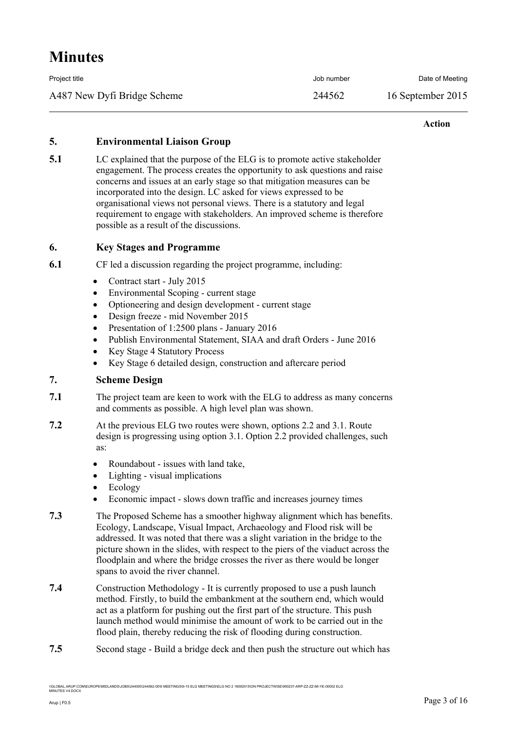| Project title               | Job number | Date of Meeting   |
|-----------------------------|------------|-------------------|
| A487 New Dyfi Bridge Scheme | 244562     | 16 September 2015 |

#### **Action**

### **5. Environmental Liaison Group**

**5.1** LC explained that the purpose of the ELG is to promote active stakeholder engagement. The process creates the opportunity to ask questions and raise concerns and issues at an early stage so that mitigation measures can be incorporated into the design. LC asked for views expressed to be organisational views not personal views. There is a statutory and legal requirement to engage with stakeholders. An improved scheme is therefore possible as a result of the discussions.

### **6. Key Stages and Programme**

**6.1** CF led a discussion regarding the project programme, including:

- Contract start July 2015
- Environmental Scoping current stage
- Optioneering and design development current stage
- Design freeze mid November 2015
- Presentation of 1:2500 plans January 2016
- Publish Environmental Statement, SIAA and draft Orders June 2016
- Key Stage 4 Statutory Process
- Key Stage 6 detailed design, construction and aftercare period

### **7. Scheme Design**

- **7.1** The project team are keen to work with the ELG to address as many concerns and comments as possible. A high level plan was shown.
- **7.2** At the previous ELG two routes were shown, options 2.2 and 3.1. Route design is progressing using option 3.1. Option 2.2 provided challenges, such as:
	- Roundabout issues with land take,
	- Lighting visual implications
	- Ecology
	- Economic impact slows down traffic and increases journey times
- **7.3** The Proposed Scheme has a smoother highway alignment which has benefits. Ecology, Landscape, Visual Impact, Archaeology and Flood risk will be addressed. It was noted that there was a slight variation in the bridge to the picture shown in the slides, with respect to the piers of the viaduct across the floodplain and where the bridge crosses the river as there would be longer spans to avoid the river channel.
- **7.4** Construction Methodology It is currently proposed to use a push launch method. Firstly, to build the embankment at the southern end, which would act as a platform for pushing out the first part of the structure. This push launch method would minimise the amount of work to be carried out in the flood plain, thereby reducing the risk of flooding during construction.
- **7.5** Second stage Build a bridge deck and then push the structure out which has

NDS\JOBS\244000\244562-00\9 MEETINGS\9-15 ELG MEETINGS\ELG NO 2 16092015\ON PROJECTWISE\900237-ARP-ZZ-ZZ-MI-YE-00002 ELG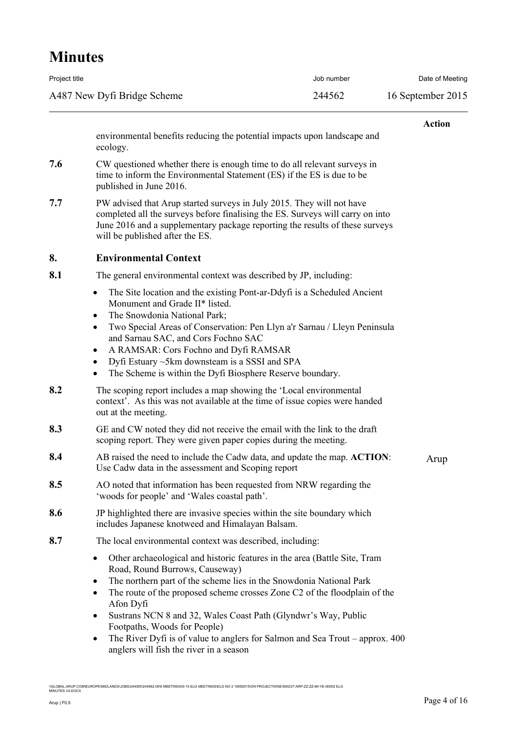| Project title               | Job number | Date of Meeting   |
|-----------------------------|------------|-------------------|
| A487 New Dyfi Bridge Scheme | 244562     | 16 September 2015 |

|     |                                                                                                                                                                                                                                                                                                                                                                                                                                                                                   | <b>Action</b> |
|-----|-----------------------------------------------------------------------------------------------------------------------------------------------------------------------------------------------------------------------------------------------------------------------------------------------------------------------------------------------------------------------------------------------------------------------------------------------------------------------------------|---------------|
|     | environmental benefits reducing the potential impacts upon landscape and<br>ecology.                                                                                                                                                                                                                                                                                                                                                                                              |               |
| 7.6 | CW questioned whether there is enough time to do all relevant surveys in<br>time to inform the Environmental Statement (ES) if the ES is due to be<br>published in June 2016.                                                                                                                                                                                                                                                                                                     |               |
| 7.7 | PW advised that Arup started surveys in July 2015. They will not have<br>completed all the surveys before finalising the ES. Surveys will carry on into<br>June 2016 and a supplementary package reporting the results of these surveys<br>will be published after the ES.                                                                                                                                                                                                        |               |
| 8.  | <b>Environmental Context</b>                                                                                                                                                                                                                                                                                                                                                                                                                                                      |               |
| 8.1 | The general environmental context was described by JP, including:                                                                                                                                                                                                                                                                                                                                                                                                                 |               |
|     | The Site location and the existing Pont-ar-Ddyfi is a Scheduled Ancient<br>$\bullet$<br>Monument and Grade II* listed.<br>The Snowdonia National Park;<br>٠<br>Two Special Areas of Conservation: Pen Llyn a'r Sarnau / Lleyn Peninsula<br>$\bullet$<br>and Sarnau SAC, and Cors Fochno SAC<br>A RAMSAR: Cors Fochno and Dyfi RAMSAR<br>٠<br>Dyfi Estuary ~5km downsteam is a SSSI and SPA<br>$\bullet$<br>The Scheme is within the Dyfi Biosphere Reserve boundary.<br>$\bullet$ |               |
| 8.2 | The scoping report includes a map showing the 'Local environmental<br>context'. As this was not available at the time of issue copies were handed<br>out at the meeting.                                                                                                                                                                                                                                                                                                          |               |
| 8.3 | GE and CW noted they did not receive the email with the link to the draft<br>scoping report. They were given paper copies during the meeting.                                                                                                                                                                                                                                                                                                                                     |               |
| 8.4 | AB raised the need to include the Cadw data, and update the map. <b>ACTION</b> :<br>Use Cadw data in the assessment and Scoping report                                                                                                                                                                                                                                                                                                                                            | Arup          |
| 8.5 | AO noted that information has been requested from NRW regarding the<br>'woods for people' and 'Wales coastal path'.                                                                                                                                                                                                                                                                                                                                                               |               |
| 8.6 | JP highlighted there are invasive species within the site boundary which<br>includes Japanese knotweed and Himalayan Balsam.                                                                                                                                                                                                                                                                                                                                                      |               |
| 8.7 | The local environmental context was described, including:                                                                                                                                                                                                                                                                                                                                                                                                                         |               |
|     | Other archaeological and historic features in the area (Battle Site, Tram<br>$\bullet$<br>Road, Round Burrows, Causeway)<br>The northern part of the scheme lies in the Snowdonia National Park<br>٠<br>The route of the proposed scheme crosses Zone C2 of the floodplain of the<br>$\bullet$<br>Afon Dyfi<br>Sustrans NCN 8 and 32, Wales Coast Path (Glyndwr's Way, Public<br>Footpaths, Woods for People)                                                                     |               |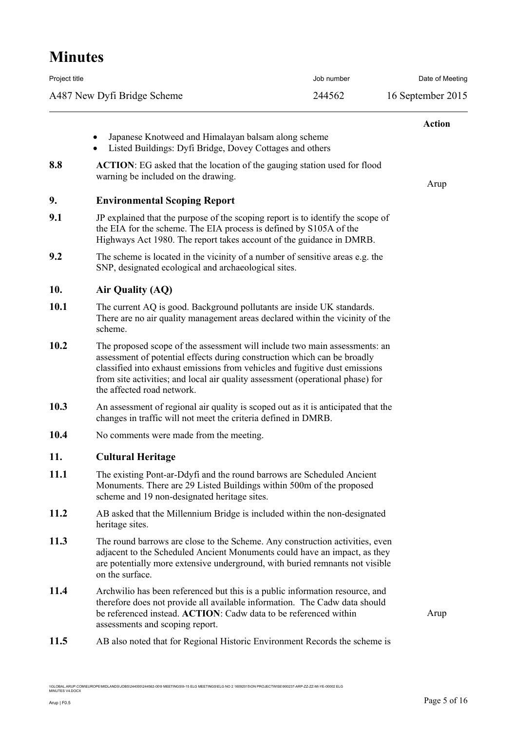| Project title |                                                                                                                                                                                                                                                                                                                                                       | Job number | Date of Meeting   |
|---------------|-------------------------------------------------------------------------------------------------------------------------------------------------------------------------------------------------------------------------------------------------------------------------------------------------------------------------------------------------------|------------|-------------------|
|               | A487 New Dyfi Bridge Scheme                                                                                                                                                                                                                                                                                                                           | 244562     | 16 September 2015 |
|               | Japanese Knotweed and Himalayan balsam along scheme<br>٠                                                                                                                                                                                                                                                                                              |            | <b>Action</b>     |
| 8.8           | Listed Buildings: Dyfi Bridge, Dovey Cottages and others<br>٠<br><b>ACTION:</b> EG asked that the location of the gauging station used for flood                                                                                                                                                                                                      |            |                   |
|               | warning be included on the drawing.                                                                                                                                                                                                                                                                                                                   |            | Arup              |
| 9.            | <b>Environmental Scoping Report</b>                                                                                                                                                                                                                                                                                                                   |            |                   |
| 9.1           | JP explained that the purpose of the scoping report is to identify the scope of<br>the EIA for the scheme. The EIA process is defined by S105A of the<br>Highways Act 1980. The report takes account of the guidance in DMRB.                                                                                                                         |            |                   |
| 9.2           | The scheme is located in the vicinity of a number of sensitive areas e.g. the<br>SNP, designated ecological and archaeological sites.                                                                                                                                                                                                                 |            |                   |
| 10.           | Air Quality (AQ)                                                                                                                                                                                                                                                                                                                                      |            |                   |
| 10.1          | The current AQ is good. Background pollutants are inside UK standards.<br>There are no air quality management areas declared within the vicinity of the<br>scheme.                                                                                                                                                                                    |            |                   |
| 10.2          | The proposed scope of the assessment will include two main assessments: an<br>assessment of potential effects during construction which can be broadly<br>classified into exhaust emissions from vehicles and fugitive dust emissions<br>from site activities; and local air quality assessment (operational phase) for<br>the affected road network. |            |                   |
| 10.3          | An assessment of regional air quality is scoped out as it is anticipated that the<br>changes in traffic will not meet the criteria defined in DMRB.                                                                                                                                                                                                   |            |                   |
| 10.4          | No comments were made from the meeting.                                                                                                                                                                                                                                                                                                               |            |                   |
| 11.           | <b>Cultural Heritage</b>                                                                                                                                                                                                                                                                                                                              |            |                   |
| 11.1          | The existing Pont-ar-Ddyfi and the round barrows are Scheduled Ancient<br>Monuments. There are 29 Listed Buildings within 500m of the proposed<br>scheme and 19 non-designated heritage sites.                                                                                                                                                        |            |                   |
| 11.2          | AB asked that the Millennium Bridge is included within the non-designated<br>heritage sites.                                                                                                                                                                                                                                                          |            |                   |
| 11.3          | The round barrows are close to the Scheme. Any construction activities, even<br>adjacent to the Scheduled Ancient Monuments could have an impact, as they<br>are potentially more extensive underground, with buried remnants not visible<br>on the surface.                                                                                          |            |                   |
| 11.4          | Archwilio has been referenced but this is a public information resource, and<br>therefore does not provide all available information. The Cadw data should<br>be referenced instead. ACTION: Cadw data to be referenced within<br>assessments and scoping report.                                                                                     |            | Arup              |
| 11.5          | AB also noted that for Regional Historic Environment Records the scheme is                                                                                                                                                                                                                                                                            |            |                   |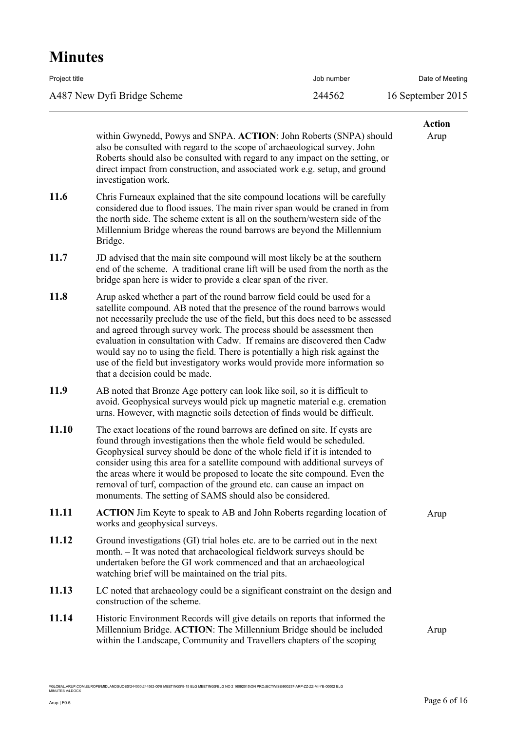| Project title               | Job number | Date of Meeting   |
|-----------------------------|------------|-------------------|
| A487 New Dyfi Bridge Scheme | 244562     | 16 September 2015 |

|             | within Gwynedd, Powys and SNPA. ACTION: John Roberts (SNPA) should                                                                                                                                                                                                                                                                                                                                                                                                                                                                                                                              | <b>Action</b><br>Arup |
|-------------|-------------------------------------------------------------------------------------------------------------------------------------------------------------------------------------------------------------------------------------------------------------------------------------------------------------------------------------------------------------------------------------------------------------------------------------------------------------------------------------------------------------------------------------------------------------------------------------------------|-----------------------|
|             | also be consulted with regard to the scope of archaeological survey. John<br>Roberts should also be consulted with regard to any impact on the setting, or<br>direct impact from construction, and associated work e.g. setup, and ground<br>investigation work.                                                                                                                                                                                                                                                                                                                                |                       |
| 11.6        | Chris Furneaux explained that the site compound locations will be carefully<br>considered due to flood issues. The main river span would be craned in from<br>the north side. The scheme extent is all on the southern/western side of the<br>Millennium Bridge whereas the round barrows are beyond the Millennium<br>Bridge.                                                                                                                                                                                                                                                                  |                       |
| 11.7        | JD advised that the main site compound will most likely be at the southern<br>end of the scheme. A traditional crane lift will be used from the north as the<br>bridge span here is wider to provide a clear span of the river.                                                                                                                                                                                                                                                                                                                                                                 |                       |
| 11.8        | Arup asked whether a part of the round barrow field could be used for a<br>satellite compound. AB noted that the presence of the round barrows would<br>not necessarily preclude the use of the field, but this does need to be assessed<br>and agreed through survey work. The process should be assessment then<br>evaluation in consultation with Cadw. If remains are discovered then Cadw<br>would say no to using the field. There is potentially a high risk against the<br>use of the field but investigatory works would provide more information so<br>that a decision could be made. |                       |
| <b>11.9</b> | AB noted that Bronze Age pottery can look like soil, so it is difficult to<br>avoid. Geophysical surveys would pick up magnetic material e.g. cremation<br>urns. However, with magnetic soils detection of finds would be difficult.                                                                                                                                                                                                                                                                                                                                                            |                       |
| 11.10       | The exact locations of the round barrows are defined on site. If cysts are<br>found through investigations then the whole field would be scheduled.<br>Geophysical survey should be done of the whole field if it is intended to<br>consider using this area for a satellite compound with additional surveys of<br>the areas where it would be proposed to locate the site compound. Even the<br>removal of turf, compaction of the ground etc. can cause an impact on<br>monuments. The setting of SAMS should also be considered.                                                            |                       |
| 11.11       | <b>ACTION</b> Jim Keyte to speak to AB and John Roberts regarding location of<br>works and geophysical surveys.                                                                                                                                                                                                                                                                                                                                                                                                                                                                                 | Arup                  |
| 11.12       | Ground investigations (GI) trial holes etc. are to be carried out in the next<br>month. - It was noted that archaeological fieldwork surveys should be<br>undertaken before the GI work commenced and that an archaeological<br>watching brief will be maintained on the trial pits.                                                                                                                                                                                                                                                                                                            |                       |
| 11.13       | LC noted that archaeology could be a significant constraint on the design and<br>construction of the scheme.                                                                                                                                                                                                                                                                                                                                                                                                                                                                                    |                       |
| 11.14       | Historic Environment Records will give details on reports that informed the<br>Millennium Bridge. ACTION: The Millennium Bridge should be included<br>within the Landscape, Community and Travellers chapters of the scoping                                                                                                                                                                                                                                                                                                                                                                    | Arup                  |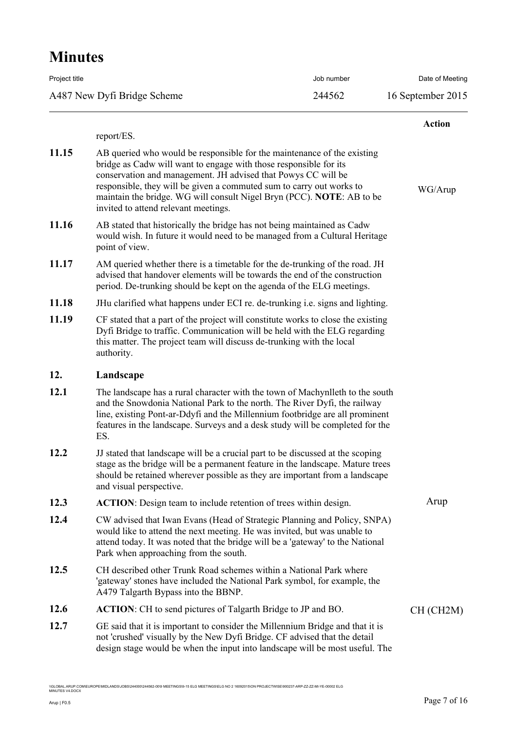| Project title               | Job number | Date of Meeting   |
|-----------------------------|------------|-------------------|
| A487 New Dyfi Bridge Scheme | 244562     | 16 September 2015 |

|       |                                                                                                                                                                                                                                                                                                                                                                                                        | <b>Action</b> |
|-------|--------------------------------------------------------------------------------------------------------------------------------------------------------------------------------------------------------------------------------------------------------------------------------------------------------------------------------------------------------------------------------------------------------|---------------|
|       | report/ES.                                                                                                                                                                                                                                                                                                                                                                                             |               |
| 11.15 | AB queried who would be responsible for the maintenance of the existing<br>bridge as Cadw will want to engage with those responsible for its<br>conservation and management. JH advised that Powys CC will be<br>responsible, they will be given a commuted sum to carry out works to<br>maintain the bridge. WG will consult Nigel Bryn (PCC). NOTE: AB to be<br>invited to attend relevant meetings. | WG/Arup       |
| 11.16 | AB stated that historically the bridge has not being maintained as Cadw<br>would wish. In future it would need to be managed from a Cultural Heritage<br>point of view.                                                                                                                                                                                                                                |               |
| 11.17 | AM queried whether there is a timetable for the de-trunking of the road. JH<br>advised that handover elements will be towards the end of the construction<br>period. De-trunking should be kept on the agenda of the ELG meetings.                                                                                                                                                                     |               |
| 11.18 | JHu clarified what happens under ECI re. de-trunking <i>i.e.</i> signs and lighting.                                                                                                                                                                                                                                                                                                                   |               |
| 11.19 | CF stated that a part of the project will constitute works to close the existing<br>Dyfi Bridge to traffic. Communication will be held with the ELG regarding<br>this matter. The project team will discuss de-trunking with the local<br>authority.                                                                                                                                                   |               |
| 12.   | Landscape                                                                                                                                                                                                                                                                                                                                                                                              |               |
| 12.1  | The landscape has a rural character with the town of Machynlleth to the south<br>and the Snowdonia National Park to the north. The River Dyfi, the railway<br>line, existing Pont-ar-Ddyfi and the Millennium footbridge are all prominent<br>features in the landscape. Surveys and a desk study will be completed for the<br>ES.                                                                     |               |
| 12.2  | JJ stated that landscape will be a crucial part to be discussed at the scoping<br>stage as the bridge will be a permanent feature in the landscape. Mature trees<br>should be retained wherever possible as they are important from a landscape<br>and visual perspective.                                                                                                                             |               |
| 12.3  | <b>ACTION</b> : Design team to include retention of trees within design.                                                                                                                                                                                                                                                                                                                               | Arup          |
| 12.4  | CW advised that Iwan Evans (Head of Strategic Planning and Policy, SNPA)<br>would like to attend the next meeting. He was invited, but was unable to<br>attend today. It was noted that the bridge will be a 'gateway' to the National<br>Park when approaching from the south.                                                                                                                        |               |
| 12.5  | CH described other Trunk Road schemes within a National Park where<br>'gateway' stones have included the National Park symbol, for example, the<br>A479 Talgarth Bypass into the BBNP.                                                                                                                                                                                                                 |               |
| 12.6  | <b>ACTION:</b> CH to send pictures of Talgarth Bridge to JP and BO.                                                                                                                                                                                                                                                                                                                                    | CH (CH2M)     |
| 12.7  | GE said that it is important to consider the Millennium Bridge and that it is<br>not 'crushed' visually by the New Dyfi Bridge. CF advised that the detail<br>design stage would be when the input into landscape will be most useful. The                                                                                                                                                             |               |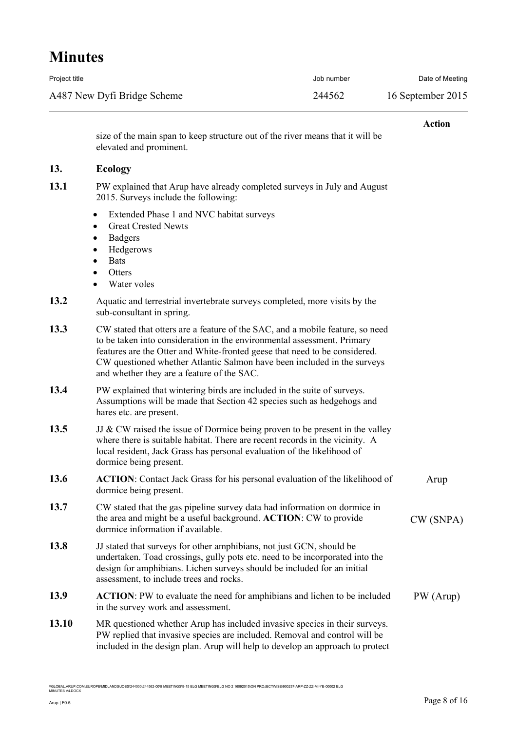| Project title               | Job number | Date of Meeting   |
|-----------------------------|------------|-------------------|
| A487 New Dyfi Bridge Scheme | 244562     | 16 September 2015 |

#### **Action**

size of the main span to keep structure out of the river means that it will be elevated and prominent.

### **13. Ecology**

| 13.1 | PW explained that Arup have already completed surveys in July and August |
|------|--------------------------------------------------------------------------|
|      | 2015. Surveys include the following:                                     |

- Extended Phase 1 and NVC habitat surveys
- Great Crested Newts
- Badgers
- Hedgerows
- Bats
- **Otters**
- Water voles

| 13.2 | Aquatic and terrestrial invertebrate surveys completed, more visits by the |
|------|----------------------------------------------------------------------------|
|      | sub-consultant in spring.                                                  |

- **13.3** CW stated that otters are a feature of the SAC, and a mobile feature, so need to be taken into consideration in the environmental assessment. Primary features are the Otter and White-fronted geese that need to be considered. CW questioned whether Atlantic Salmon have been included in the surveys and whether they are a feature of the SAC.
- **13.4** PW explained that wintering birds are included in the suite of surveys. Assumptions will be made that Section 42 species such as hedgehogs and hares etc. are present.

**13.5** JJ & CW raised the issue of Dormice being proven to be present in the valley where there is suitable habitat. There are recent records in the vicinity. A local resident, Jack Grass has personal evaluation of the likelihood of dormice being present.

- **13.6 ACTION**: Contact Jack Grass for his personal evaluation of the likelihood of dormice being present. Arup
- **13.7** CW stated that the gas pipeline survey data had information on dormice in the area and might be a useful background. **ACTION**: CW to provide dormice information if available. CW (SNPA)
- **13.8** JJ stated that surveys for other amphibians, not just GCN, should be undertaken. Toad crossings, gully pots etc. need to be incorporated into the design for amphibians. Lichen surveys should be included for an initial assessment, to include trees and rocks.
- **13.9 ACTION**: PW to evaluate the need for amphibians and lichen to be included in the survey work and assessment. PW (Arup)
- **13.10** MR questioned whether Arup has included invasive species in their surveys. PW replied that invasive species are included. Removal and control will be included in the design plan. Arup will help to develop an approach to protect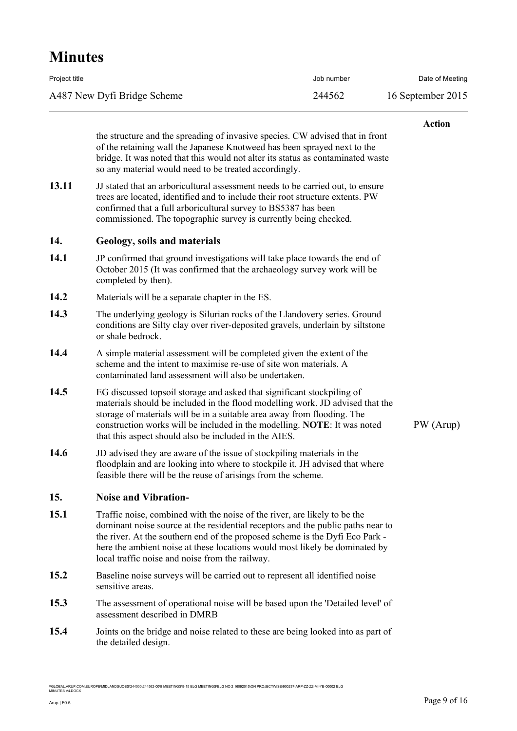| Project title               | Job number | Date of Meeting   |
|-----------------------------|------------|-------------------|
| A487 New Dyfi Bridge Scheme | 244562     | 16 September 2015 |

#### **Action**

the structure and the spreading of invasive species. CW advised that in front of the retaining wall the Japanese Knotweed has been sprayed next to the bridge. It was noted that this would not alter its status as contaminated waste so any material would need to be treated accordingly.

13.11 JJ stated that an arboricultural assessment needs to be carried out, to ensure trees are located, identified and to include their root structure extents. PW confirmed that a full arboricultural survey to BS5387 has been commissioned. The topographic survey is currently being checked.

#### **14. Geology, soils and materials**

- **14.1** JP confirmed that ground investigations will take place towards the end of October 2015 (It was confirmed that the archaeology survey work will be completed by then).
- **14.2** Materials will be a separate chapter in the ES.
- **14.3** The underlying geology is Silurian rocks of the Llandovery series. Ground conditions are Silty clay over river-deposited gravels, underlain by siltstone or shale bedrock.
- **14.4** A simple material assessment will be completed given the extent of the scheme and the intent to maximise re-use of site won materials. A contaminated land assessment will also be undertaken.
- **14.5** EG discussed topsoil storage and asked that significant stockpiling of materials should be included in the flood modelling work. JD advised that the storage of materials will be in a suitable area away from flooding. The construction works will be included in the modelling. **NOTE**: It was noted that this aspect should also be included in the AIES.
- **14.6** JD advised they are aware of the issue of stockpiling materials in the floodplain and are looking into where to stockpile it. JH advised that where feasible there will be the reuse of arisings from the scheme.

### **15. Noise and Vibration-**

- **15.1** Traffic noise, combined with the noise of the river, are likely to be the dominant noise source at the residential receptors and the public paths near to the river. At the southern end of the proposed scheme is the Dyfi Eco Park here the ambient noise at these locations would most likely be dominated by local traffic noise and noise from the railway.
- **15.2** Baseline noise surveys will be carried out to represent all identified noise sensitive areas.
- **15.3** The assessment of operational noise will be based upon the 'Detailed level' of assessment described in DMRB
- **15.4** Joints on the bridge and noise related to these are being looked into as part of the detailed design.

\\GLOBAL.ARUP.COM\EUROPE\MIDLANDS\JOBS\244000\244562-00\9 MEETINGS\9-15 ELG MEETINGS\ELG NO 2 16092015\ON PROJECTWISE\900237-ARP-ZZ-ZZ-MI-YE-00002 ELG<br>MINUTES V4.DOCX

PW (Arup)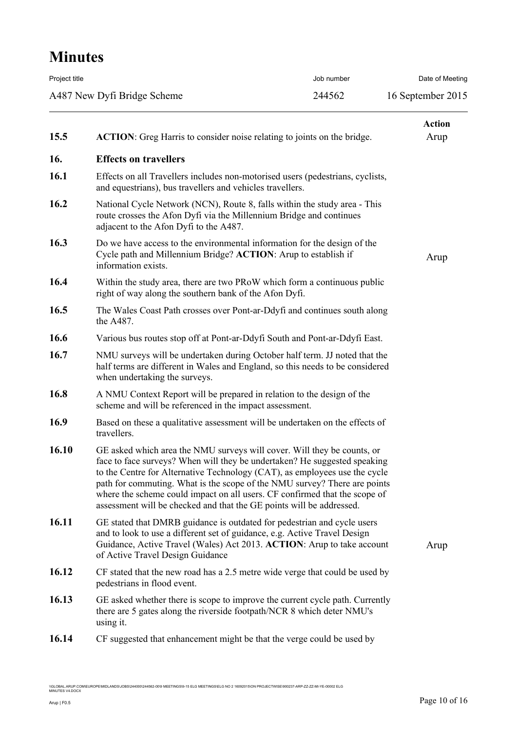| Project title |                                                                                                                                                                                                                                                                                                                                                                                                                                                                       | Job number | Date of Meeting       |
|---------------|-----------------------------------------------------------------------------------------------------------------------------------------------------------------------------------------------------------------------------------------------------------------------------------------------------------------------------------------------------------------------------------------------------------------------------------------------------------------------|------------|-----------------------|
|               | A487 New Dyfi Bridge Scheme                                                                                                                                                                                                                                                                                                                                                                                                                                           | 244562     | 16 September 2015     |
| 15.5          | <b>ACTION:</b> Greg Harris to consider noise relating to joints on the bridge.                                                                                                                                                                                                                                                                                                                                                                                        |            | <b>Action</b><br>Arup |
| 16.           | <b>Effects on travellers</b>                                                                                                                                                                                                                                                                                                                                                                                                                                          |            |                       |
| 16.1          | Effects on all Travellers includes non-motorised users (pedestrians, cyclists,<br>and equestrians), bus travellers and vehicles travellers.                                                                                                                                                                                                                                                                                                                           |            |                       |
| 16.2          | National Cycle Network (NCN), Route 8, falls within the study area - This<br>route crosses the Afon Dyfi via the Millennium Bridge and continues<br>adjacent to the Afon Dyfi to the A487.                                                                                                                                                                                                                                                                            |            |                       |
| 16.3          | Do we have access to the environmental information for the design of the<br>Cycle path and Millennium Bridge? ACTION: Arup to establish if<br>information exists.                                                                                                                                                                                                                                                                                                     |            | Arup                  |
| 16.4          | Within the study area, there are two PRoW which form a continuous public<br>right of way along the southern bank of the Afon Dyfi.                                                                                                                                                                                                                                                                                                                                    |            |                       |
| 16.5          | The Wales Coast Path crosses over Pont-ar-Ddyfi and continues south along<br>the A487.                                                                                                                                                                                                                                                                                                                                                                                |            |                       |
| 16.6          | Various bus routes stop off at Pont-ar-Ddyfi South and Pont-ar-Ddyfi East.                                                                                                                                                                                                                                                                                                                                                                                            |            |                       |
| 16.7          | NMU surveys will be undertaken during October half term. JJ noted that the<br>half terms are different in Wales and England, so this needs to be considered<br>when undertaking the surveys.                                                                                                                                                                                                                                                                          |            |                       |
| 16.8          | A NMU Context Report will be prepared in relation to the design of the<br>scheme and will be referenced in the impact assessment.                                                                                                                                                                                                                                                                                                                                     |            |                       |
| <b>16.9</b>   | Based on these a qualitative assessment will be undertaken on the effects of<br>travellers.                                                                                                                                                                                                                                                                                                                                                                           |            |                       |
| 16.10         | GE asked which area the NMU surveys will cover. Will they be counts, or<br>face to face surveys? When will they be undertaken? He suggested speaking<br>to the Centre for Alternative Technology (CAT), as employees use the cycle<br>path for commuting. What is the scope of the NMU survey? There are points<br>where the scheme could impact on all users. CF confirmed that the scope of<br>assessment will be checked and that the GE points will be addressed. |            |                       |
| 16.11         | GE stated that DMRB guidance is outdated for pedestrian and cycle users<br>and to look to use a different set of guidance, e.g. Active Travel Design<br>Guidance, Active Travel (Wales) Act 2013. ACTION: Arup to take account<br>of Active Travel Design Guidance                                                                                                                                                                                                    |            | Arup                  |
| 16.12         | CF stated that the new road has a 2.5 metre wide verge that could be used by<br>pedestrians in flood event.                                                                                                                                                                                                                                                                                                                                                           |            |                       |
| 16.13         | GE asked whether there is scope to improve the current cycle path. Currently<br>there are 5 gates along the riverside footpath/NCR 8 which deter NMU's<br>using it.                                                                                                                                                                                                                                                                                                   |            |                       |
| 16.14         | CF suggested that enhancement might be that the verge could be used by                                                                                                                                                                                                                                                                                                                                                                                                |            |                       |
|               |                                                                                                                                                                                                                                                                                                                                                                                                                                                                       |            |                       |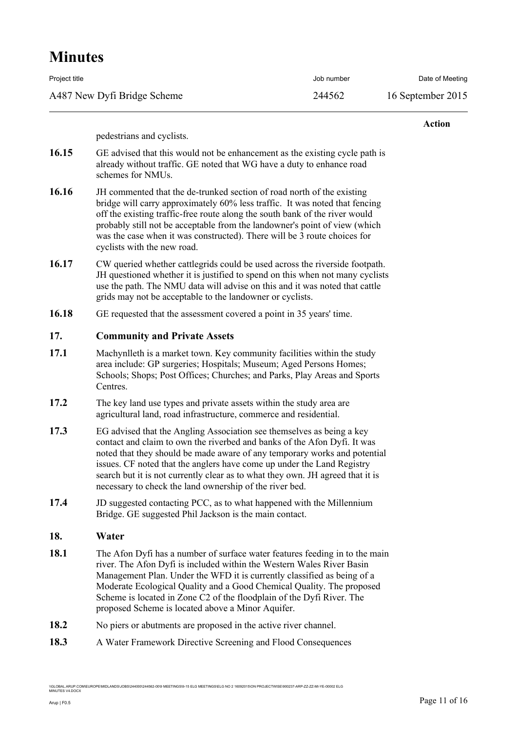| Project title               | Job number | Date of Meeting   |
|-----------------------------|------------|-------------------|
| A487 New Dyfi Bridge Scheme | 244562     | 16 September 2015 |

#### **Action**

pedestrians and cyclists.

- **16.15** GE advised that this would not be enhancement as the existing cycle path is already without traffic. GE noted that WG have a duty to enhance road schemes for NMUs.
- **16.16** JH commented that the de-trunked section of road north of the existing bridge will carry approximately 60% less traffic. It was noted that fencing off the existing traffic-free route along the south bank of the river would probably still not be acceptable from the landowner's point of view (which was the case when it was constructed). There will be 3 route choices for cyclists with the new road.
- **16.17** CW queried whether cattlegrids could be used across the riverside footpath. JH questioned whether it is justified to spend on this when not many cyclists use the path. The NMU data will advise on this and it was noted that cattle grids may not be acceptable to the landowner or cyclists.
- **16.18** GE requested that the assessment covered a point in 35 years' time.

#### **17. Community and Private Assets**

- **17.1** Machynlleth is a market town. Key community facilities within the study area include: GP surgeries; Hospitals; Museum; Aged Persons Homes; Schools; Shops; Post Offices; Churches; and Parks, Play Areas and Sports Centres.
- **17.2** The key land use types and private assets within the study area are agricultural land, road infrastructure, commerce and residential.
- **17.3** EG advised that the Angling Association see themselves as being a key contact and claim to own the riverbed and banks of the Afon Dyfi. It was noted that they should be made aware of any temporary works and potential issues. CF noted that the anglers have come up under the Land Registry search but it is not currently clear as to what they own. JH agreed that it is necessary to check the land ownership of the river bed.
- **17.4** JD suggested contacting PCC, as to what happened with the Millennium Bridge. GE suggested Phil Jackson is the main contact.

#### **18. Water**

- **18.1** The Afon Dyfi has a number of surface water features feeding in to the main river. The Afon Dyfi is included within the Western Wales River Basin Management Plan. Under the WFD it is currently classified as being of a Moderate Ecological Quality and a Good Chemical Quality. The proposed Scheme is located in Zone C2 of the floodplain of the Dyfi River. The proposed Scheme is located above a Minor Aquifer.
- **18.2** No piers or abutments are proposed in the active river channel.
- **18.3** A Water Framework Directive Screening and Flood Consequences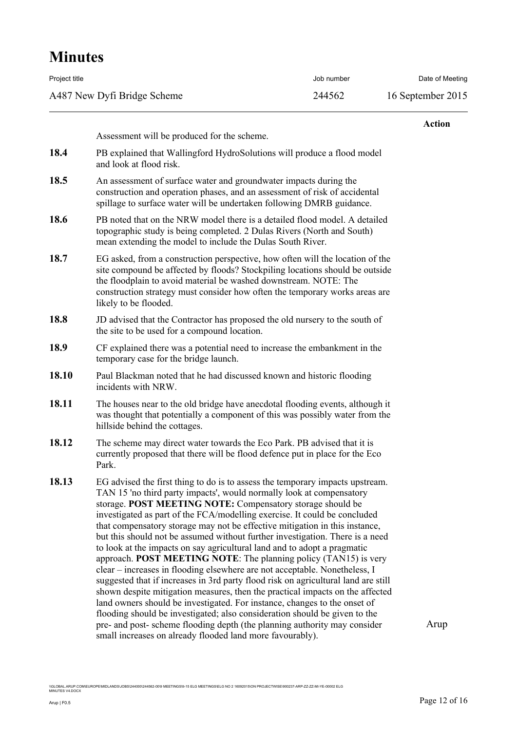| Project title               | Job number | Date of Meeting   |
|-----------------------------|------------|-------------------|
| A487 New Dyfi Bridge Scheme | 244562     | 16 September 2015 |

|       |                                                                                                                                                                                                                                                                                                                                                                                                                                                                                                                                                                                                                                                                                                                                                                                                                                                                                                                                                                                                                                                                                                                                                                            | <b>Action</b> |
|-------|----------------------------------------------------------------------------------------------------------------------------------------------------------------------------------------------------------------------------------------------------------------------------------------------------------------------------------------------------------------------------------------------------------------------------------------------------------------------------------------------------------------------------------------------------------------------------------------------------------------------------------------------------------------------------------------------------------------------------------------------------------------------------------------------------------------------------------------------------------------------------------------------------------------------------------------------------------------------------------------------------------------------------------------------------------------------------------------------------------------------------------------------------------------------------|---------------|
|       | Assessment will be produced for the scheme.                                                                                                                                                                                                                                                                                                                                                                                                                                                                                                                                                                                                                                                                                                                                                                                                                                                                                                                                                                                                                                                                                                                                |               |
| 18.4  | PB explained that Wallingford HydroSolutions will produce a flood model<br>and look at flood risk.                                                                                                                                                                                                                                                                                                                                                                                                                                                                                                                                                                                                                                                                                                                                                                                                                                                                                                                                                                                                                                                                         |               |
| 18.5  | An assessment of surface water and groundwater impacts during the<br>construction and operation phases, and an assessment of risk of accidental<br>spillage to surface water will be undertaken following DMRB guidance.                                                                                                                                                                                                                                                                                                                                                                                                                                                                                                                                                                                                                                                                                                                                                                                                                                                                                                                                                   |               |
| 18.6  | PB noted that on the NRW model there is a detailed flood model. A detailed<br>topographic study is being completed. 2 Dulas Rivers (North and South)<br>mean extending the model to include the Dulas South River.                                                                                                                                                                                                                                                                                                                                                                                                                                                                                                                                                                                                                                                                                                                                                                                                                                                                                                                                                         |               |
| 18.7  | EG asked, from a construction perspective, how often will the location of the<br>site compound be affected by floods? Stockpiling locations should be outside<br>the floodplain to avoid material be washed downstream. NOTE: The<br>construction strategy must consider how often the temporary works areas are<br>likely to be flooded.                                                                                                                                                                                                                                                                                                                                                                                                                                                                                                                                                                                                                                                                                                                                                                                                                                  |               |
| 18.8  | JD advised that the Contractor has proposed the old nursery to the south of<br>the site to be used for a compound location.                                                                                                                                                                                                                                                                                                                                                                                                                                                                                                                                                                                                                                                                                                                                                                                                                                                                                                                                                                                                                                                |               |
| 18.9  | CF explained there was a potential need to increase the embankment in the<br>temporary case for the bridge launch.                                                                                                                                                                                                                                                                                                                                                                                                                                                                                                                                                                                                                                                                                                                                                                                                                                                                                                                                                                                                                                                         |               |
| 18.10 | Paul Blackman noted that he had discussed known and historic flooding<br>incidents with NRW.                                                                                                                                                                                                                                                                                                                                                                                                                                                                                                                                                                                                                                                                                                                                                                                                                                                                                                                                                                                                                                                                               |               |
| 18.11 | The houses near to the old bridge have anecdotal flooding events, although it<br>was thought that potentially a component of this was possibly water from the<br>hillside behind the cottages.                                                                                                                                                                                                                                                                                                                                                                                                                                                                                                                                                                                                                                                                                                                                                                                                                                                                                                                                                                             |               |
| 18.12 | The scheme may direct water towards the Eco Park. PB advised that it is<br>currently proposed that there will be flood defence put in place for the Eco<br>Park.                                                                                                                                                                                                                                                                                                                                                                                                                                                                                                                                                                                                                                                                                                                                                                                                                                                                                                                                                                                                           |               |
| 18.13 | EG advised the first thing to do is to assess the temporary impacts upstream.<br>TAN 15 'no third party impacts', would normally look at compensatory<br>storage. POST MEETING NOTE: Compensatory storage should be<br>investigated as part of the FCA/modelling exercise. It could be concluded<br>that compensatory storage may not be effective mitigation in this instance,<br>but this should not be assumed without further investigation. There is a need<br>to look at the impacts on say agricultural land and to adopt a pragmatic<br>approach. POST MEETING NOTE: The planning policy (TAN15) is very<br>clear – increases in flooding elsewhere are not acceptable. Nonetheless, I<br>suggested that if increases in 3rd party flood risk on agricultural land are still<br>shown despite mitigation measures, then the practical impacts on the affected<br>land owners should be investigated. For instance, changes to the onset of<br>flooding should be investigated; also consideration should be given to the<br>pre- and post- scheme flooding depth (the planning authority may consider<br>small increases on already flooded land more favourably). | Arup          |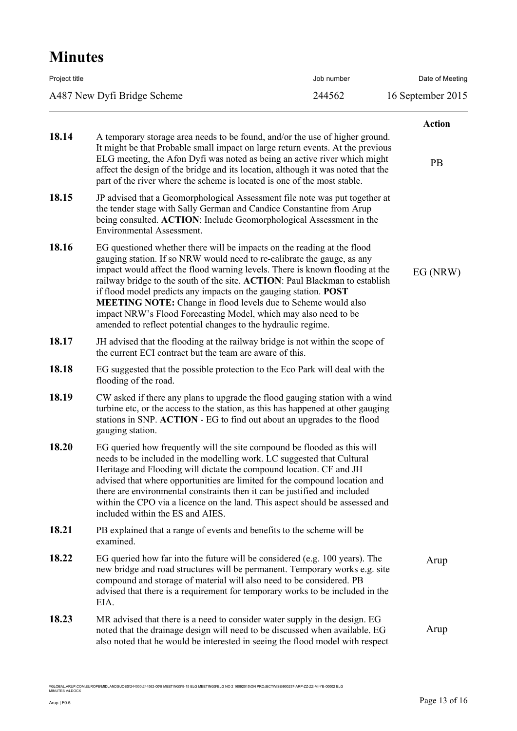| Project title               | Job number | Date of Meeting   |
|-----------------------------|------------|-------------------|
| A487 New Dyfi Bridge Scheme | 244562     | 16 September 2015 |
|                             |            |                   |

|       |                                                                                                                                                                                                                                                                                                                                                                                                                                                                                                                                                                                                          | <b>Action</b> |
|-------|----------------------------------------------------------------------------------------------------------------------------------------------------------------------------------------------------------------------------------------------------------------------------------------------------------------------------------------------------------------------------------------------------------------------------------------------------------------------------------------------------------------------------------------------------------------------------------------------------------|---------------|
| 18.14 | A temporary storage area needs to be found, and/or the use of higher ground.<br>It might be that Probable small impact on large return events. At the previous<br>ELG meeting, the Afon Dyfi was noted as being an active river which might<br>affect the design of the bridge and its location, although it was noted that the<br>part of the river where the scheme is located is one of the most stable.                                                                                                                                                                                              | PB            |
| 18.15 | JP advised that a Geomorphological Assessment file note was put together at<br>the tender stage with Sally German and Candice Constantine from Arup<br>being consulted. ACTION: Include Geomorphological Assessment in the<br><b>Environmental Assessment.</b>                                                                                                                                                                                                                                                                                                                                           |               |
| 18.16 | EG questioned whether there will be impacts on the reading at the flood<br>gauging station. If so NRW would need to re-calibrate the gauge, as any<br>impact would affect the flood warning levels. There is known flooding at the<br>railway bridge to the south of the site. ACTION: Paul Blackman to establish<br>if flood model predicts any impacts on the gauging station. <b>POST</b><br><b>MEETING NOTE:</b> Change in flood levels due to Scheme would also<br>impact NRW's Flood Forecasting Model, which may also need to be<br>amended to reflect potential changes to the hydraulic regime. | EG(NRW)       |
| 18.17 | JH advised that the flooding at the railway bridge is not within the scope of<br>the current ECI contract but the team are aware of this.                                                                                                                                                                                                                                                                                                                                                                                                                                                                |               |
| 18.18 | EG suggested that the possible protection to the Eco Park will deal with the<br>flooding of the road.                                                                                                                                                                                                                                                                                                                                                                                                                                                                                                    |               |
| 18.19 | CW asked if there any plans to upgrade the flood gauging station with a wind<br>turbine etc, or the access to the station, as this has happened at other gauging<br>stations in SNP. ACTION - EG to find out about an upgrades to the flood<br>gauging station.                                                                                                                                                                                                                                                                                                                                          |               |
| 18.20 | EG queried how frequently will the site compound be flooded as this will<br>needs to be included in the modelling work. LC suggested that Cultural<br>Heritage and Flooding will dictate the compound location. CF and JH<br>advised that where opportunities are limited for the compound location and<br>there are environmental constraints then it can be justified and included<br>within the CPO via a licence on the land. This aspect should be assessed and<br>included within the ES and AIES.                                                                                                 |               |
| 18.21 | PB explained that a range of events and benefits to the scheme will be<br>examined.                                                                                                                                                                                                                                                                                                                                                                                                                                                                                                                      |               |
| 18.22 | EG queried how far into the future will be considered (e.g. 100 years). The<br>new bridge and road structures will be permanent. Temporary works e.g. site<br>compound and storage of material will also need to be considered. PB<br>advised that there is a requirement for temporary works to be included in the<br>EIA.                                                                                                                                                                                                                                                                              | Arup          |
| 18.23 | MR advised that there is a need to consider water supply in the design. EG<br>noted that the drainage design will need to be discussed when available. EG<br>also noted that he would be interested in seeing the flood model with respect                                                                                                                                                                                                                                                                                                                                                               | Arup          |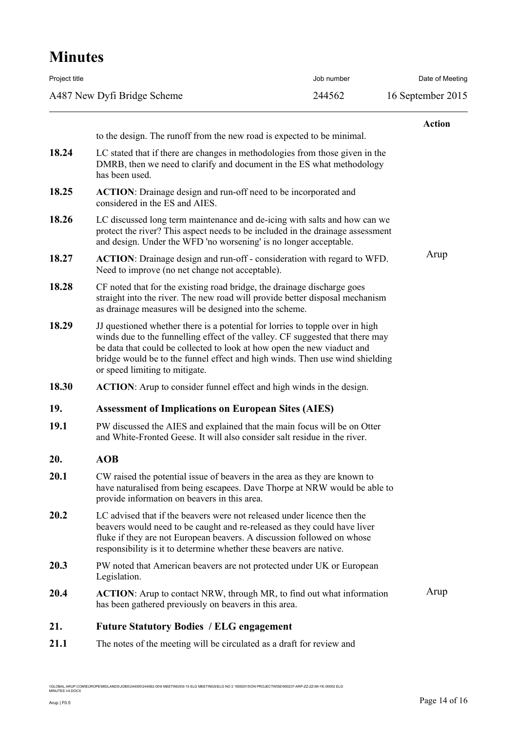| <b>Minutes</b>              |                                                                                                                                                                                                                                                                                                                                                             |            |                   |
|-----------------------------|-------------------------------------------------------------------------------------------------------------------------------------------------------------------------------------------------------------------------------------------------------------------------------------------------------------------------------------------------------------|------------|-------------------|
| Project title               |                                                                                                                                                                                                                                                                                                                                                             | Job number | Date of Meeting   |
| A487 New Dyfi Bridge Scheme |                                                                                                                                                                                                                                                                                                                                                             | 244562     | 16 September 2015 |
|                             |                                                                                                                                                                                                                                                                                                                                                             |            | <b>Action</b>     |
|                             | to the design. The runoff from the new road is expected to be minimal.                                                                                                                                                                                                                                                                                      |            |                   |
| 18.24                       | LC stated that if there are changes in methodologies from those given in the<br>DMRB, then we need to clarify and document in the ES what methodology<br>has been used.                                                                                                                                                                                     |            |                   |
| 18.25                       | ACTION: Drainage design and run-off need to be incorporated and<br>considered in the ES and AIES.                                                                                                                                                                                                                                                           |            |                   |
| 18.26                       | LC discussed long term maintenance and de-icing with salts and how can we<br>protect the river? This aspect needs to be included in the drainage assessment<br>and design. Under the WFD 'no worsening' is no longer acceptable.                                                                                                                            |            |                   |
| 18.27                       | <b>ACTION:</b> Drainage design and run-off - consideration with regard to WFD.<br>Need to improve (no net change not acceptable).                                                                                                                                                                                                                           |            | Arup              |
| 18.28                       | CF noted that for the existing road bridge, the drainage discharge goes<br>straight into the river. The new road will provide better disposal mechanism<br>as drainage measures will be designed into the scheme.                                                                                                                                           |            |                   |
| 18.29                       | JJ questioned whether there is a potential for lorries to topple over in high<br>winds due to the funnelling effect of the valley. CF suggested that there may<br>be data that could be collected to look at how open the new viaduct and<br>bridge would be to the funnel effect and high winds. Then use wind shielding<br>or speed limiting to mitigate. |            |                   |
| 18.30                       | <b>ACTION:</b> Arup to consider funnel effect and high winds in the design.                                                                                                                                                                                                                                                                                 |            |                   |
| 19.                         | <b>Assessment of Implications on European Sites (AIES)</b>                                                                                                                                                                                                                                                                                                  |            |                   |
| 19.1                        | PW discussed the AIES and explained that the main focus will be on Otter<br>and White-Fronted Geese. It will also consider salt residue in the river.                                                                                                                                                                                                       |            |                   |
| 20.                         | <b>AOB</b>                                                                                                                                                                                                                                                                                                                                                  |            |                   |
| 20.1                        | CW raised the potential issue of beavers in the area as they are known to<br>have naturalised from being escapees. Dave Thorpe at NRW would be able to<br>provide information on beavers in this area.                                                                                                                                                      |            |                   |
| 20.2                        | LC advised that if the beavers were not released under licence then the<br>beavers would need to be caught and re-released as they could have liver<br>fluke if they are not European beavers. A discussion followed on whose<br>responsibility is it to determine whether these beavers are native.                                                        |            |                   |
| 20.3                        | PW noted that American beavers are not protected under UK or European<br>Legislation.                                                                                                                                                                                                                                                                       |            |                   |
| 20.4                        | <b>ACTION:</b> Arup to contact NRW, through MR, to find out what information<br>has been gathered previously on beavers in this area.                                                                                                                                                                                                                       |            | Arup              |
| 21.                         | <b>Future Statutory Bodies / ELG engagement</b>                                                                                                                                                                                                                                                                                                             |            |                   |
| 21.1                        | The notes of the meeting will be circulated as a draft for review and                                                                                                                                                                                                                                                                                       |            |                   |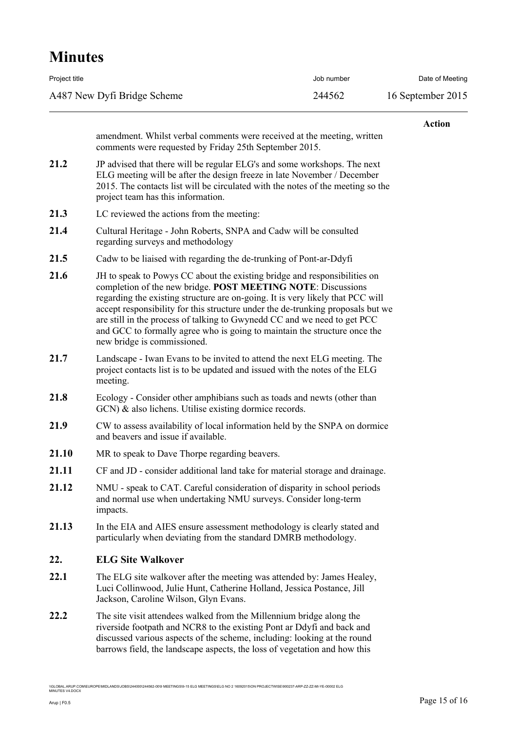| Project title               | Job number | Date of Meeting   |
|-----------------------------|------------|-------------------|
| A487 New Dyfi Bridge Scheme | 244562     | 16 September 2015 |

#### **Action**

amendment. Whilst verbal comments were received at the meeting, written comments were requested by Friday 25th September 2015.

- **21.2** JP advised that there will be regular ELG's and some workshops. The next ELG meeting will be after the design freeze in late November / December 2015. The contacts list will be circulated with the notes of the meeting so the project team has this information.
- 21.3 LC reviewed the actions from the meeting:
- **21.4** Cultural Heritage John Roberts, SNPA and Cadw will be consulted regarding surveys and methodology
- **21.5** Cadw to be liaised with regarding the de-trunking of Pont-ar-Ddyfi
- **21.6** JH to speak to Powys CC about the existing bridge and responsibilities on completion of the new bridge. **POST MEETING NOTE**: Discussions regarding the existing structure are on-going. It is very likely that PCC will accept responsibility for this structure under the de-trunking proposals but we are still in the process of talking to Gwynedd CC and we need to get PCC and GCC to formally agree who is going to maintain the structure once the new bridge is commissioned.
- **21.7** Landscape Iwan Evans to be invited to attend the next ELG meeting. The project contacts list is to be updated and issued with the notes of the ELG meeting.
- **21.8** Ecology Consider other amphibians such as toads and newts (other than GCN) & also lichens. Utilise existing dormice records.
- **21.9** CW to assess availability of local information held by the SNPA on dormice and beavers and issue if available.
- **21.10** MR to speak to Dave Thorpe regarding beavers.
- **21.11** CF and JD consider additional land take for material storage and drainage.
- **21.12** NMU speak to CAT. Careful consideration of disparity in school periods and normal use when undertaking NMU surveys. Consider long-term impacts.
- **21.13** In the EIA and AIES ensure assessment methodology is clearly stated and particularly when deviating from the standard DMRB methodology.

### **22. ELG Site Walkover**

- **22.1** The ELG site walkover after the meeting was attended by: James Healey, Luci Collinwood, Julie Hunt, Catherine Holland, Jessica Postance, Jill Jackson, Caroline Wilson, Glyn Evans.
- **22.2** The site visit attendees walked from the Millennium bridge along the riverside footpath and NCR8 to the existing Pont ar Ddyfi and back and discussed various aspects of the scheme, including: looking at the round barrows field, the landscape aspects, the loss of vegetation and how this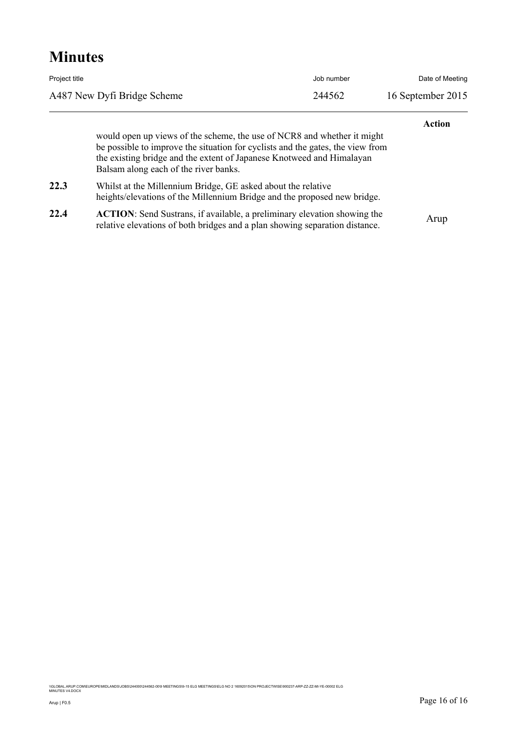| Project title               | Job number | Date of Meeting   |
|-----------------------------|------------|-------------------|
| A487 New Dyfi Bridge Scheme | 244562     | 16 September 2015 |
|                             |            |                   |

would open up views of the scheme, the use of NCR8 and whether it might be possible to improve the situation for cyclists and the gates, the view from the existing bridge and the extent of Japanese Knotweed and Himalayan Balsam along each of the river banks.

**22.3** Whilst at the Millennium Bridge, GE asked about the relative heights/elevations of the Millennium Bridge and the proposed new bridge.

**22.4 ACTION**: Send Sustrans, if available, a preliminary elevation showing the ACTION. Send Sustians, it available, a premiinary elevation showing the Arup relative elevations of both bridges and a plan showing separation distance.

\\GLOBAL.ARUP.COM\EUROPE\MIDLANDS\JOBS\244000\244562-00\9 MEETINGS\9-15 ELG MEETINGS\ELG NO 2 16092015\ON PROJECTWISE\900237-ARP-ZZ-ZZ-MI-YE-00002 ELG<br>MINUTES V4.DOCX

**Action**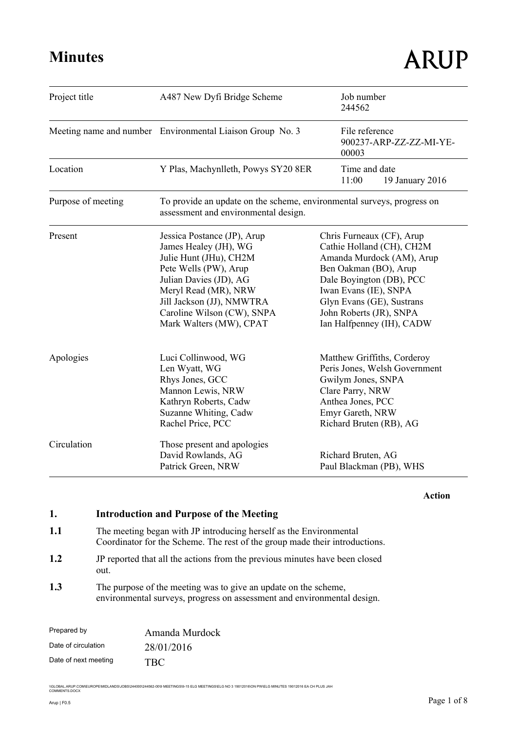| Project title      | A487 New Dyfi Bridge Scheme                                                                                                                                                                                                                     | Job number<br>244562                                                                                                                                                                                                                                   |
|--------------------|-------------------------------------------------------------------------------------------------------------------------------------------------------------------------------------------------------------------------------------------------|--------------------------------------------------------------------------------------------------------------------------------------------------------------------------------------------------------------------------------------------------------|
|                    | Meeting name and number Environmental Liaison Group No. 3                                                                                                                                                                                       | File reference<br>900237-ARP-ZZ-ZZ-MI-YE-<br>00003                                                                                                                                                                                                     |
| Location           | Y Plas, Machynlleth, Powys SY20 8ER                                                                                                                                                                                                             | Time and date<br>11:00<br>19 January 2016                                                                                                                                                                                                              |
| Purpose of meeting | To provide an update on the scheme, environmental surveys, progress on<br>assessment and environmental design.                                                                                                                                  |                                                                                                                                                                                                                                                        |
| Present            | Jessica Postance (JP), Arup<br>James Healey (JH), WG<br>Julie Hunt (JHu), CH2M<br>Pete Wells (PW), Arup<br>Julian Davies (JD), AG<br>Meryl Read (MR), NRW<br>Jill Jackson (JJ), NMWTRA<br>Caroline Wilson (CW), SNPA<br>Mark Walters (MW), CPAT | Chris Furneaux (CF), Arup<br>Cathie Holland (CH), CH2M<br>Amanda Murdock (AM), Arup<br>Ben Oakman (BO), Arup<br>Dale Boyington (DB), PCC<br>Iwan Evans (IE), SNPA<br>Glyn Evans (GE), Sustrans<br>John Roberts (JR), SNPA<br>Ian Halfpenney (IH), CADW |
| Apologies          | Luci Collinwood, WG<br>Len Wyatt, WG<br>Rhys Jones, GCC<br>Mannon Lewis, NRW<br>Kathryn Roberts, Cadw<br>Suzanne Whiting, Cadw<br>Rachel Price, PCC                                                                                             | Matthew Griffiths, Corderoy<br>Peris Jones, Welsh Government<br>Gwilym Jones, SNPA<br>Clare Parry, NRW<br>Anthea Jones, PCC<br>Emyr Gareth, NRW<br>Richard Bruten (RB), AG                                                                             |
| Circulation        | Those present and apologies<br>David Rowlands, AG<br>Patrick Green, NRW                                                                                                                                                                         | Richard Bruten, AG<br>Paul Blackman (PB), WHS                                                                                                                                                                                                          |

#### **Action**

## **1. Introduction and Purpose of the Meeting**

- 1.1 The meeting began with JP introducing herself as the Environmental Coordinator for the Scheme. The rest of the group made their introductions.
- **1.2** JP reported that all the actions from the previous minutes have been closed out.
- 1.3 The purpose of the meeting was to give an update on the scheme, environmental surveys, progress on assessment and environmental design.

| Prepared by          | Amanda Murdock |
|----------------------|----------------|
| Date of circulation  | 28/01/2016     |
| Date of next meeting | <b>TRC</b>     |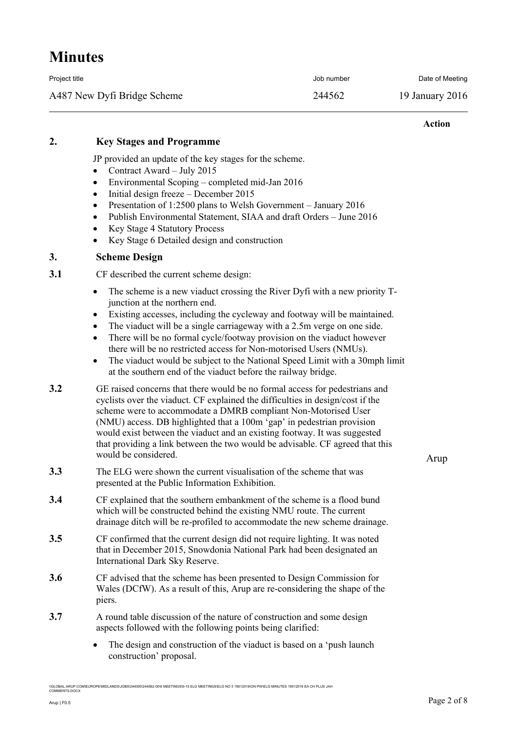| Project title               | Job number | Date of Meeting |
|-----------------------------|------------|-----------------|
| A487 New Dyfi Bridge Scheme | 244562     | 19 January 2016 |

#### **Action**

## **2. Key Stages and Programme**

JP provided an update of the key stages for the scheme.

- Contract Award July 2015
- Environmental Scoping completed mid-Jan 2016
- $\bullet$  Initial design freeze December 2015
- Presentation of 1:2500 plans to Welsh Government January 2016
- Publish Environmental Statement, SIAA and draft Orders June 2016
- Key Stage 4 Statutory Process
- Key Stage 6 Detailed design and construction

### **3. Scheme Design**

- **3.1** CF described the current scheme design:
	- The scheme is a new viaduct crossing the River Dyfi with a new priority Tjunction at the northern end.
	- Existing accesses, including the cycleway and footway will be maintained.
	- The viaduct will be a single carriageway with a 2.5m verge on one side.
	- There will be no formal cycle/footway provision on the viaduct however there will be no restricted access for Non-motorised Users (NMUs).
	- The viaduct would be subject to the National Speed Limit with a 30mph limit at the southern end of the viaduct before the railway bridge.
- **3.2** GE raised concerns that there would be no formal access for pedestrians and cyclists over the viaduct. CF explained the difficulties in design/cost if the scheme were to accommodate a DMRB compliant Non-Motorised User (NMU) access. DB highlighted that a 100m 'gap' in pedestrian provision would exist between the viaduct and an existing footway. It was suggested that providing a link between the two would be advisable. CF agreed that this would be considered.
- **3.3** The ELG were shown the current visualisation of the scheme that was presented at the Public Information Exhibition.
- **3.4** CF explained that the southern embankment of the scheme is a flood bund which will be constructed behind the existing NMU route. The current drainage ditch will be re-profiled to accommodate the new scheme drainage.
- **3.5** CF confirmed that the current design did not require lighting. It was noted that in December 2015, Snowdonia National Park had been designated an International Dark Sky Reserve.
- **3.6** CF advised that the scheme has been presented to Design Commission for Wales (DCfW). As a result of this, Arup are re-considering the shape of the piers.
- **3.7** A round table discussion of the nature of construction and some design aspects followed with the following points being clarified:
	- The design and construction of the viaduct is based on a 'push launch' construction' proposal.

\<br>DBS\244000\244562-00\9 MEETINGS\9-15 ELG MEETINGS\ELG NO 3 19012016\ON PW\ELG MINUTES 19012016 EA CH PLUS JAH

Arup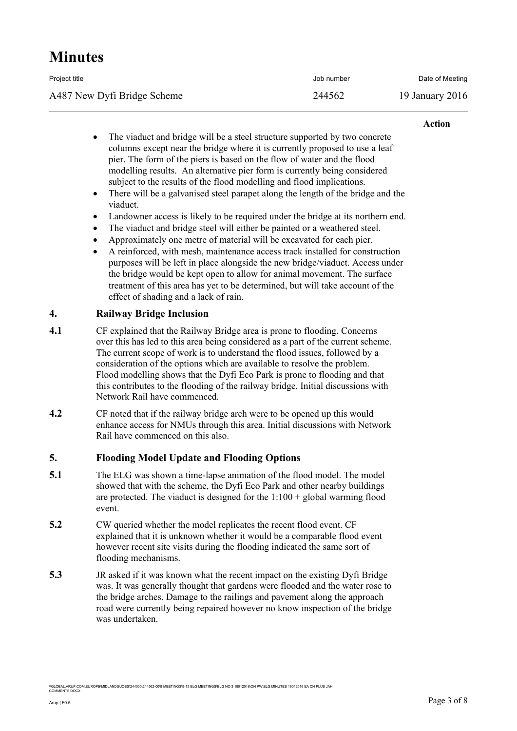| Project title               | Job number | Date of Meeting |
|-----------------------------|------------|-----------------|
| A487 New Dyfi Bridge Scheme | 244562     | 19 January 2016 |

#### **Action**

- The viaduct and bridge will be a steel structure supported by two concrete columns except near the bridge where it is currently proposed to use a leaf pier. The form of the piers is based on the flow of water and the flood modelling results. An alternative pier form is currently being considered subject to the results of the flood modelling and flood implications.
- There will be a galvanised steel parapet along the length of the bridge and the viaduct.
- Landowner access is likely to be required under the bridge at its northern end.
- The viaduct and bridge steel will either be painted or a weathered steel.
- Approximately one metre of material will be excavated for each pier.
- A reinforced, with mesh, maintenance access track installed for construction purposes will be left in place alongside the new bridge/viaduct. Access under the bridge would be kept open to allow for animal movement. The surface treatment of this area has yet to be determined, but will take account of the effect of shading and a lack of rain.

### **4. Railway Bridge Inclusion**

- **4.1** CF explained that the Railway Bridge area is prone to flooding. Concerns over this has led to this area being considered as a part of the current scheme. The current scope of work is to understand the flood issues, followed by a consideration of the options which are available to resolve the problem. Flood modelling shows that the Dyfi Eco Park is prone to flooding and that this contributes to the flooding of the railway bridge. Initial discussions with Network Rail have commenced.
- **4.2** CF noted that if the railway bridge arch were to be opened up this would enhance access for NMUs through this area. Initial discussions with Network Rail have commenced on this also.

### **5. Flooding Model Update and Flooding Options**

- **5.1** The ELG was shown a time-lapse animation of the flood model. The model showed that with the scheme, the Dyfi Eco Park and other nearby buildings are protected. The viaduct is designed for the  $1:100 +$  global warming flood event.
- **5.2** CW queried whether the model replicates the recent flood event. CF explained that it is unknown whether it would be a comparable flood event however recent site visits during the flooding indicated the same sort of flooding mechanisms.
- **5.3** JR asked if it was known what the recent impact on the existing Dyfi Bridge was. It was generally thought that gardens were flooded and the water rose to the bridge arches. Damage to the railings and pavement along the approach road were currently being repaired however no know inspection of the bridge was undertaken.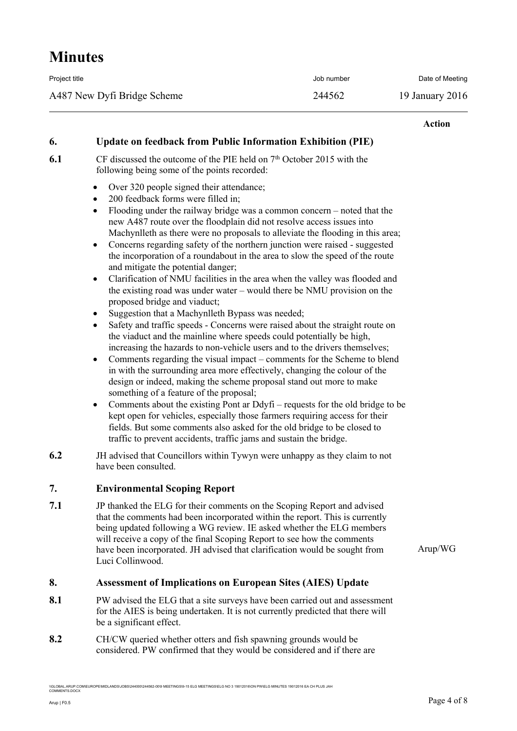| Project title               | Job number | Date of Meeting |
|-----------------------------|------------|-----------------|
| A487 New Dyfi Bridge Scheme | 244562     | 19 January 2016 |

#### **Action**

### **6. Update on feedback from Public Information Exhibition (PIE)**

**6.1** CF discussed the outcome of the PIE held on 7<sup>th</sup> October 2015 with the following being some of the points recorded:

- Over 320 people signed their attendance:
- 200 feedback forms were filled in;
- Flooding under the railway bridge was a common concern noted that the new A487 route over the floodplain did not resolve access issues into Machynlleth as there were no proposals to alleviate the flooding in this area;
- Concerns regarding safety of the northern junction were raised suggested the incorporation of a roundabout in the area to slow the speed of the route and mitigate the potential danger;
- Clarification of NMU facilities in the area when the valley was flooded and the existing road was under water – would there be NMU provision on the proposed bridge and viaduct;
- Suggestion that a Machynlleth Bypass was needed;
- Safety and traffic speeds Concerns were raised about the straight route on the viaduct and the mainline where speeds could potentially be high, increasing the hazards to non-vehicle users and to the drivers themselves;
- Comments regarding the visual impact comments for the Scheme to blend in with the surrounding area more effectively, changing the colour of the design or indeed, making the scheme proposal stand out more to make something of a feature of the proposal;
- Comments about the existing Pont ar Ddyfi requests for the old bridge to be kept open for vehicles, especially those farmers requiring access for their fields. But some comments also asked for the old bridge to be closed to traffic to prevent accidents, traffic jams and sustain the bridge.
- **6.2** JH advised that Councillors within Tywyn were unhappy as they claim to not have been consulted.

### **7. Environmental Scoping Report**

**7.1** JP thanked the ELG for their comments on the Scoping Report and advised that the comments had been incorporated within the report. This is currently being updated following a WG review. IE asked whether the ELG members will receive a copy of the final Scoping Report to see how the comments have been incorporated. JH advised that clarification would be sought from Luci Collinwood.

Arup/WG

### **8. Assessment of Implications on European Sites (AIES) Update**

- **8.1** PW advised the ELG that a site surveys have been carried out and assessment for the AIES is being undertaken. It is not currently predicted that there will be a significant effect.
- **8.2** CH/CW queried whether otters and fish spawning grounds would be considered. PW confirmed that they would be considered and if there are

0\244562-00\9 MEETINGS\9-15 ELG MEETINGS\ELG NO 3 19012016\ON PW\ELG MINUTES 19012016 EA CH PLUS JAH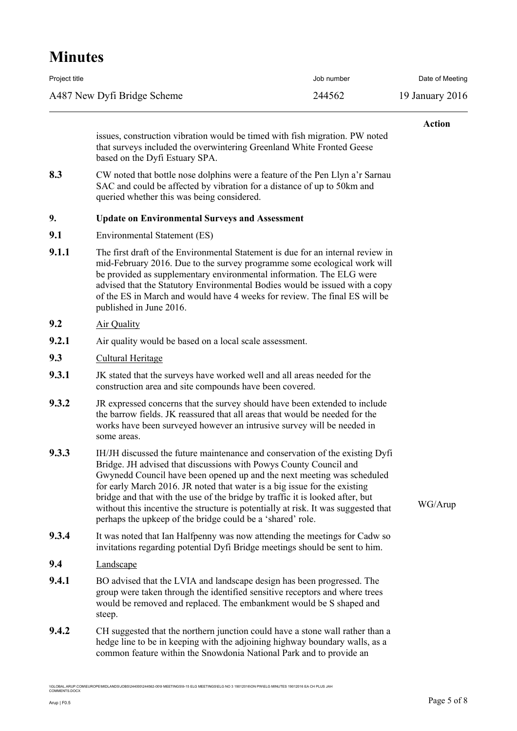| Project title               | Job number | Date of Meeting |
|-----------------------------|------------|-----------------|
| A487 New Dyfi Bridge Scheme | 244562     | 19 January 2016 |

#### **Action**

issues, construction vibration would be timed with fish migration. PW noted that surveys included the overwintering Greenland White Fronted Geese based on the Dyfi Estuary SPA.

**8.3** CW noted that bottle nose dolphins were a feature of the Pen Llyn a'r Sarnau SAC and could be affected by vibration for a distance of up to 50km and queried whether this was being considered.

#### **9. Update on Environmental Surveys and Assessment**

- **9.1** Environmental Statement (ES)
- **9.1.1** The first draft of the Environmental Statement is due for an internal review in mid-February 2016. Due to the survey programme some ecological work will be provided as supplementary environmental information. The ELG were advised that the Statutory Environmental Bodies would be issued with a copy of the ES in March and would have 4 weeks for review. The final ES will be published in June 2016.
- **9.2** Air Quality
- **9.2.1** Air quality would be based on a local scale assessment.
- **9.3** Cultural Heritage
- **9.3.1** JK stated that the surveys have worked well and all areas needed for the construction area and site compounds have been covered.
- **9.3.2** JR expressed concerns that the survey should have been extended to include the barrow fields. JK reassured that all areas that would be needed for the works have been surveyed however an intrusive survey will be needed in some areas.
- **9.3.3** IH/JH discussed the future maintenance and conservation of the existing Dyfi Bridge. JH advised that discussions with Powys County Council and Gwynedd Council have been opened up and the next meeting was scheduled for early March 2016. JR noted that water is a big issue for the existing bridge and that with the use of the bridge by traffic it is looked after, but without this incentive the structure is potentially at risk. It was suggested that perhaps the upkeep of the bridge could be a 'shared' role.
- **9.3.4** It was noted that Ian Halfpenny was now attending the meetings for Cadw so invitations regarding potential Dyfi Bridge meetings should be sent to him.
- **9.4** Landscape
- **9.4.1** BO advised that the LVIA and landscape design has been progressed. The group were taken through the identified sensitive receptors and where trees would be removed and replaced. The embankment would be S shaped and steep.
- **9.4.2** CH suggested that the northern junction could have a stone wall rather than a hedge line to be in keeping with the adjoining highway boundary walls, as a common feature within the Snowdonia National Park and to provide an

%<br>-<br>BLOBAL.ARUP.COMORETINGS\9-15 ELG MEETINGS\ELG NO 3 19012016\ON PW\ELG MINUTES 19012016 EA CH PLUS JAH

WG/Arup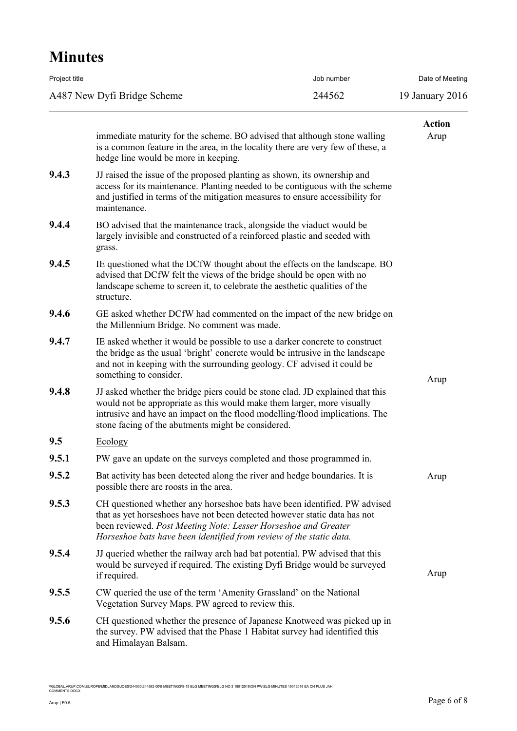| Project title               | Job number | Date of Meeting |
|-----------------------------|------------|-----------------|
| A487 New Dyfi Bridge Scheme | 244562     | 19 January 2016 |

|       |                                                                                                                                                                                                                                                                                                 | <b>Action</b> |
|-------|-------------------------------------------------------------------------------------------------------------------------------------------------------------------------------------------------------------------------------------------------------------------------------------------------|---------------|
|       | immediate maturity for the scheme. BO advised that although stone walling<br>is a common feature in the area, in the locality there are very few of these, a<br>hedge line would be more in keeping.                                                                                            | Arup          |
| 9.4.3 | JJ raised the issue of the proposed planting as shown, its ownership and<br>access for its maintenance. Planting needed to be contiguous with the scheme<br>and justified in terms of the mitigation measures to ensure accessibility for<br>maintenance.                                       |               |
| 9.4.4 | BO advised that the maintenance track, alongside the viaduct would be<br>largely invisible and constructed of a reinforced plastic and seeded with<br>grass.                                                                                                                                    |               |
| 9.4.5 | IE questioned what the DCfW thought about the effects on the landscape. BO<br>advised that DCfW felt the views of the bridge should be open with no<br>landscape scheme to screen it, to celebrate the aesthetic qualities of the<br>structure.                                                 |               |
| 9.4.6 | GE asked whether DCfW had commented on the impact of the new bridge on<br>the Millennium Bridge. No comment was made.                                                                                                                                                                           |               |
| 9.4.7 | IE asked whether it would be possible to use a darker concrete to construct<br>the bridge as the usual 'bright' concrete would be intrusive in the landscape<br>and not in keeping with the surrounding geology. CF advised it could be<br>something to consider.                               | Arup          |
| 9.4.8 | JJ asked whether the bridge piers could be stone clad. JD explained that this<br>would not be appropriate as this would make them larger, more visually<br>intrusive and have an impact on the flood modelling/flood implications. The<br>stone facing of the abutments might be considered.    |               |
| 9.5   | Ecology                                                                                                                                                                                                                                                                                         |               |
| 9.5.1 | PW gave an update on the surveys completed and those programmed in.                                                                                                                                                                                                                             |               |
| 9.5.2 | Bat activity has been detected along the river and hedge boundaries. It is<br>possible there are roosts in the area.                                                                                                                                                                            | Arup          |
| 9.5.3 | CH questioned whether any horseshoe bats have been identified. PW advised<br>that as yet horseshoes have not been detected however static data has not<br>been reviewed. Post Meeting Note: Lesser Horseshoe and Greater<br>Horseshoe bats have been identified from review of the static data. |               |
| 9.5.4 | JJ queried whether the railway arch had bat potential. PW advised that this<br>would be surveyed if required. The existing Dyfi Bridge would be surveyed<br>if required.                                                                                                                        | Arup          |
| 9.5.5 | CW queried the use of the term 'Amenity Grassland' on the National<br>Vegetation Survey Maps. PW agreed to review this.                                                                                                                                                                         |               |
| 9.5.6 | CH questioned whether the presence of Japanese Knotweed was picked up in<br>the survey. PW advised that the Phase 1 Habitat survey had identified this<br>and Himalayan Balsam.                                                                                                                 |               |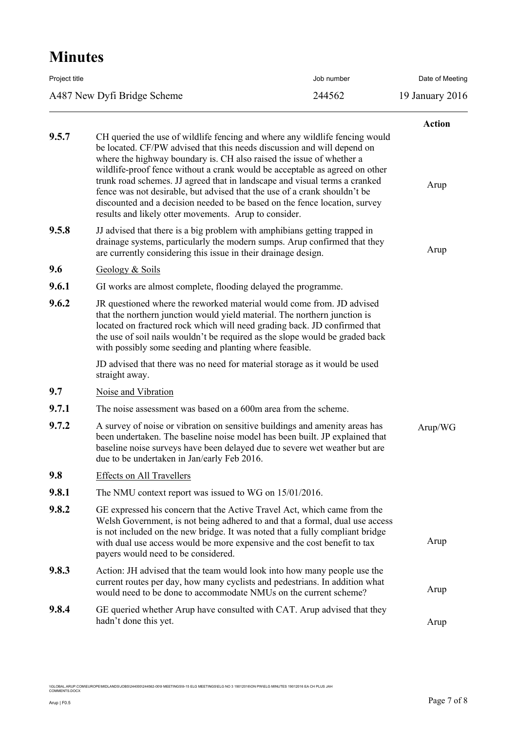| Project title               | Job number | Date of Meeting |
|-----------------------------|------------|-----------------|
| A487 New Dyfi Bridge Scheme | 244562     | 19 January 2016 |
|                             |            |                 |

|       |                                                                                                                                                                                                                                                                                                                                                                                                                                                                                                                                                                                                                 | <b>Action</b> |
|-------|-----------------------------------------------------------------------------------------------------------------------------------------------------------------------------------------------------------------------------------------------------------------------------------------------------------------------------------------------------------------------------------------------------------------------------------------------------------------------------------------------------------------------------------------------------------------------------------------------------------------|---------------|
| 9.5.7 | CH queried the use of wildlife fencing and where any wildlife fencing would<br>be located. CF/PW advised that this needs discussion and will depend on<br>where the highway boundary is. CH also raised the issue of whether a<br>wildlife-proof fence without a crank would be acceptable as agreed on other<br>trunk road schemes. JJ agreed that in landscape and visual terms a cranked<br>fence was not desirable, but advised that the use of a crank shouldn't be<br>discounted and a decision needed to be based on the fence location, survey<br>results and likely otter movements. Arup to consider. | Arup          |
| 9.5.8 | JJ advised that there is a big problem with amphibians getting trapped in<br>drainage systems, particularly the modern sumps. Arup confirmed that they<br>are currently considering this issue in their drainage design.                                                                                                                                                                                                                                                                                                                                                                                        | Arup          |
| 9.6   | Geology & Soils                                                                                                                                                                                                                                                                                                                                                                                                                                                                                                                                                                                                 |               |
| 9.6.1 | GI works are almost complete, flooding delayed the programme.                                                                                                                                                                                                                                                                                                                                                                                                                                                                                                                                                   |               |
| 9.6.2 | JR questioned where the reworked material would come from. JD advised<br>that the northern junction would yield material. The northern junction is<br>located on fractured rock which will need grading back. JD confirmed that<br>the use of soil nails wouldn't be required as the slope would be graded back<br>with possibly some seeding and planting where feasible.                                                                                                                                                                                                                                      |               |
|       | JD advised that there was no need for material storage as it would be used<br>straight away.                                                                                                                                                                                                                                                                                                                                                                                                                                                                                                                    |               |
| 9.7   | Noise and Vibration                                                                                                                                                                                                                                                                                                                                                                                                                                                                                                                                                                                             |               |
| 9.7.1 | The noise assessment was based on a 600m area from the scheme.                                                                                                                                                                                                                                                                                                                                                                                                                                                                                                                                                  |               |
| 9.7.2 | A survey of noise or vibration on sensitive buildings and amenity areas has<br>been undertaken. The baseline noise model has been built. JP explained that<br>baseline noise surveys have been delayed due to severe wet weather but are<br>due to be undertaken in Jan/early Feb 2016.                                                                                                                                                                                                                                                                                                                         | Arup/WG       |
| 9.8   | <b>Effects on All Travellers</b>                                                                                                                                                                                                                                                                                                                                                                                                                                                                                                                                                                                |               |
| 9.8.1 | The NMU context report was issued to WG on 15/01/2016.                                                                                                                                                                                                                                                                                                                                                                                                                                                                                                                                                          |               |
| 9.8.2 | GE expressed his concern that the Active Travel Act, which came from the<br>Welsh Government, is not being adhered to and that a formal, dual use access<br>is not included on the new bridge. It was noted that a fully compliant bridge<br>with dual use access would be more expensive and the cost benefit to tax<br>payers would need to be considered.                                                                                                                                                                                                                                                    | Arup          |
| 9.8.3 | Action: JH advised that the team would look into how many people use the<br>current routes per day, how many cyclists and pedestrians. In addition what<br>would need to be done to accommodate NMUs on the current scheme?                                                                                                                                                                                                                                                                                                                                                                                     | Arup          |
| 9.8.4 | GE queried whether Arup have consulted with CAT. Arup advised that they<br>hadn't done this yet.                                                                                                                                                                                                                                                                                                                                                                                                                                                                                                                | Arup          |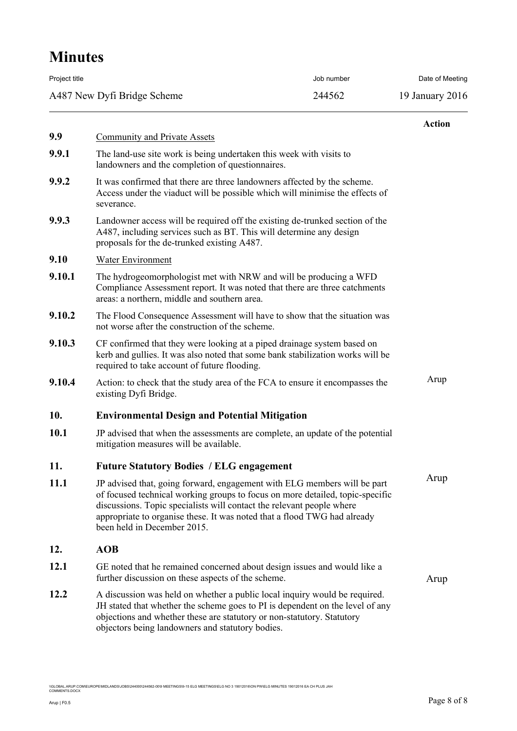| Project title               | Job number | Date of Meeting |
|-----------------------------|------------|-----------------|
| A487 New Dyfi Bridge Scheme | 244562     | 19 January 2016 |
|                             |            |                 |

|             |                                                                                                                                                                                                                                                                                                                                               | <b>Action</b> |  |
|-------------|-----------------------------------------------------------------------------------------------------------------------------------------------------------------------------------------------------------------------------------------------------------------------------------------------------------------------------------------------|---------------|--|
| 9.9         | <b>Community and Private Assets</b>                                                                                                                                                                                                                                                                                                           |               |  |
| 9.9.1       | The land-use site work is being undertaken this week with visits to<br>landowners and the completion of questionnaires.                                                                                                                                                                                                                       |               |  |
| 9.9.2       | It was confirmed that there are three landowners affected by the scheme.<br>Access under the viaduct will be possible which will minimise the effects of<br>severance.                                                                                                                                                                        |               |  |
| 9.9.3       | Landowner access will be required off the existing de-trunked section of the<br>A487, including services such as BT. This will determine any design<br>proposals for the de-trunked existing A487.                                                                                                                                            |               |  |
| 9.10        | Water Environment                                                                                                                                                                                                                                                                                                                             |               |  |
| 9.10.1      | The hydrogeomorphologist met with NRW and will be producing a WFD<br>Compliance Assessment report. It was noted that there are three catchments<br>areas: a northern, middle and southern area.                                                                                                                                               |               |  |
| 9.10.2      | The Flood Consequence Assessment will have to show that the situation was<br>not worse after the construction of the scheme.                                                                                                                                                                                                                  |               |  |
| 9.10.3      | CF confirmed that they were looking at a piped drainage system based on<br>kerb and gullies. It was also noted that some bank stabilization works will be<br>required to take account of future flooding.                                                                                                                                     |               |  |
| 9.10.4      | Action: to check that the study area of the FCA to ensure it encompasses the<br>existing Dyfi Bridge.                                                                                                                                                                                                                                         | Arup          |  |
| 10.         | <b>Environmental Design and Potential Mitigation</b>                                                                                                                                                                                                                                                                                          |               |  |
| 10.1        | JP advised that when the assessments are complete, an update of the potential<br>mitigation measures will be available.                                                                                                                                                                                                                       |               |  |
| 11.         | <b>Future Statutory Bodies / ELG engagement</b>                                                                                                                                                                                                                                                                                               |               |  |
| <b>11.1</b> | JP advised that, going forward, engagement with ELG members will be part<br>of focused technical working groups to focus on more detailed, topic-specific<br>discussions. Topic specialists will contact the relevant people where<br>appropriate to organise these. It was noted that a flood TWG had already<br>been held in December 2015. | Arup          |  |
| 12.         | <b>AOB</b>                                                                                                                                                                                                                                                                                                                                    |               |  |
| 12.1        | GE noted that he remained concerned about design issues and would like a<br>further discussion on these aspects of the scheme.                                                                                                                                                                                                                | Arup          |  |
| 12.2        | A discussion was held on whether a public local inquiry would be required.<br>JH stated that whether the scheme goes to PI is dependent on the level of any<br>objections and whether these are statutory or non-statutory. Statutory                                                                                                         |               |  |

objectors being landowners and statutory bodies.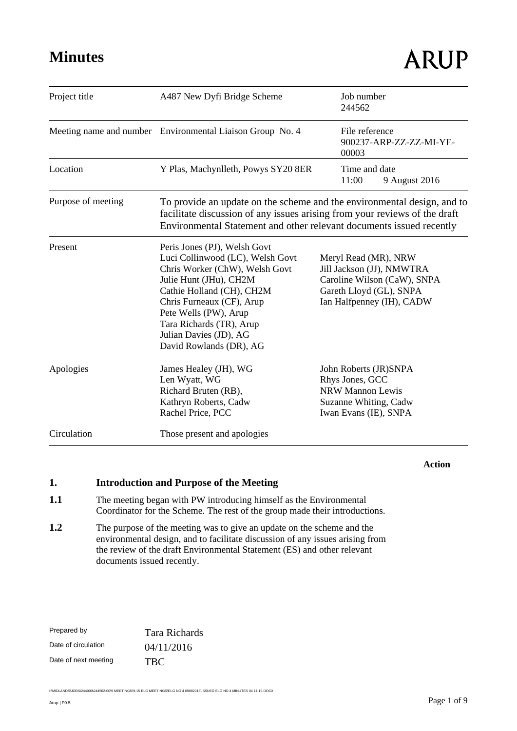| Project title      | A487 New Dyfi Bridge Scheme                                                                                                                                                                                                                                                                      | Job number<br>244562                                                                                                                     |
|--------------------|--------------------------------------------------------------------------------------------------------------------------------------------------------------------------------------------------------------------------------------------------------------------------------------------------|------------------------------------------------------------------------------------------------------------------------------------------|
|                    | Meeting name and number Environmental Liaison Group No. 4                                                                                                                                                                                                                                        | File reference<br>900237-ARP-ZZ-ZZ-MI-YE-<br>00003                                                                                       |
| Location           | Y Plas, Machynlleth, Powys SY20 8ER                                                                                                                                                                                                                                                              | Time and date<br>11:00<br>9 August 2016                                                                                                  |
| Purpose of meeting | To provide an update on the scheme and the environmental design, and to<br>facilitate discussion of any issues arising from your reviews of the draft<br>Environmental Statement and other relevant documents issued recently                                                                    |                                                                                                                                          |
| Present            | Peris Jones (PJ), Welsh Govt<br>Luci Collinwood (LC), Welsh Govt<br>Chris Worker (ChW), Welsh Govt<br>Julie Hunt (JHu), CH2M<br>Cathie Holland (CH), CH2M<br>Chris Furneaux (CF), Arup<br>Pete Wells (PW), Arup<br>Tara Richards (TR), Arup<br>Julian Davies (JD), AG<br>David Rowlands (DR), AG | Meryl Read (MR), NRW<br>Jill Jackson (JJ), NMWTRA<br>Caroline Wilson (CaW), SNPA<br>Gareth Lloyd (GL), SNPA<br>Ian Halfpenney (IH), CADW |
| Apologies          | James Healey (JH), WG<br>Len Wyatt, WG<br>Richard Bruten (RB),<br>Kathryn Roberts, Cadw<br>Rachel Price, PCC                                                                                                                                                                                     | John Roberts (JR)SNPA<br>Rhys Jones, GCC<br><b>NRW Mannon Lewis</b><br>Suzanne Whiting, Cadw<br>Iwan Evans (IE), SNPA                    |
| Circulation        | Those present and apologies                                                                                                                                                                                                                                                                      |                                                                                                                                          |

**Action**

## **1. Introduction and Purpose of the Meeting**

- 1.1 The meeting began with PW introducing himself as the Environmental Coordinator for the Scheme. The rest of the group made their introductions.
- **1.2** The purpose of the meeting was to give an update on the scheme and the environmental design, and to facilitate discussion of any issues arising from the review of the draft Environmental Statement (ES) and other relevant documents issued recently.

| Prepared by          | Tara Richards |
|----------------------|---------------|
| Date of circulation  | 04/11/2016    |
| Date of next meeting | <b>TBC</b>    |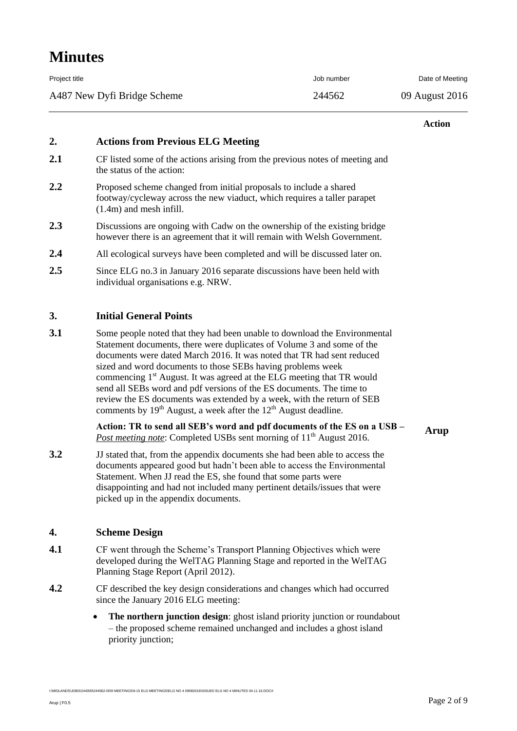| Project title               | Job number | Date of Meeting |
|-----------------------------|------------|-----------------|
| A487 New Dyfi Bridge Scheme | 244562     | 09 August 2016  |

#### **Action**

### **2. Actions from Previous ELG Meeting**

- **2.1** CF listed some of the actions arising from the previous notes of meeting and the status of the action:
- 2.2 Proposed scheme changed from initial proposals to include a shared footway/cycleway across the new viaduct, which requires a taller parapet (1.4m) and mesh infill.
- **2.3** Discussions are ongoing with Cadw on the ownership of the existing bridge however there is an agreement that it will remain with Welsh Government.
- **2.4** All ecological surveys have been completed and will be discussed later on.
- **2.5** Since ELG no.3 in January 2016 separate discussions have been held with individual organisations e.g. NRW.

### **3. Initial General Points**

**3.1** Some people noted that they had been unable to download the Environmental Statement documents, there were duplicates of Volume 3 and some of the documents were dated March 2016. It was noted that TR had sent reduced sized and word documents to those SEBs having problems week commencing 1st August. It was agreed at the ELG meeting that TR would send all SEBs word and pdf versions of the ES documents. The time to review the ES documents was extended by a week, with the return of SEB comments by  $19<sup>th</sup>$  August, a week after the  $12<sup>th</sup>$  August deadline.

> **Action: TR to send all SEB's word and pdf documents of the ES on a USB –** *Post meeting note:* Completed USBs sent morning of 11<sup>th</sup> August 2016.

**3.2** JJ stated that, from the appendix documents she had been able to access the documents appeared good but hadn't been able to access the Environmental Statement. When JJ read the ES, she found that some parts were disappointing and had not included many pertinent details/issues that were picked up in the appendix documents.

### **4. Scheme Design**

- **4.1** CF went through the Scheme's Transport Planning Objectives which were developed during the WelTAG Planning Stage and reported in the WelTAG Planning Stage Report (April 2012).
- **4.2** CF described the key design considerations and changes which had occurred since the January 2016 ELG meeting:
	- **The northern junction design**: ghost island priority junction or roundabout – the proposed scheme remained unchanged and includes a ghost island priority junction;

I:\MIDLANDS\JOBS\244000\244562-00\9 MEETINGS\9-15 ELG MEETINGS\ELG NO 4 09082016\ISSUED ELG NO 4 MINUTES 04.11.16.DOCX

**Arup**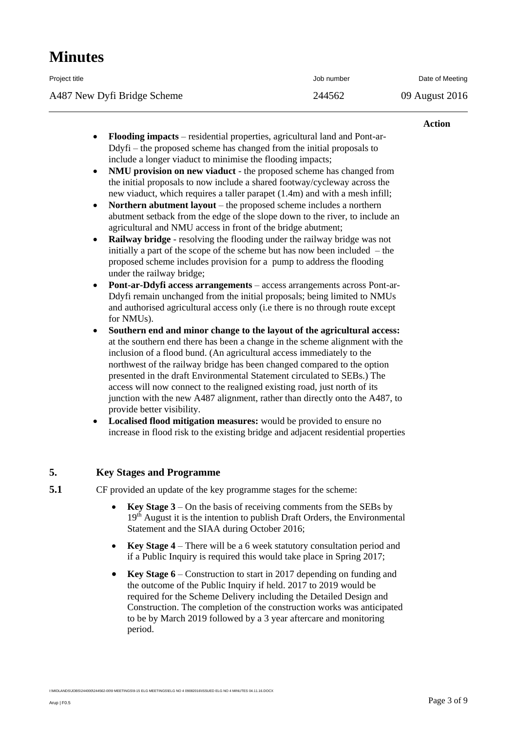| Project title               | Job number | Date of Meeting |
|-----------------------------|------------|-----------------|
| A487 New Dyfi Bridge Scheme | 244562     | 09 August 2016  |

#### **Action**

- **Flooding impacts** residential properties, agricultural land and Pont-ar-Ddyfi – the proposed scheme has changed from the initial proposals to include a longer viaduct to minimise the flooding impacts;
- **NMU provision on new viaduct** the proposed scheme has changed from the initial proposals to now include a shared footway/cycleway across the new viaduct, which requires a taller parapet (1.4m) and with a mesh infill;
- **Northern abutment layout** the proposed scheme includes a northern abutment setback from the edge of the slope down to the river, to include an agricultural and NMU access in front of the bridge abutment;
- **Railway bridge** resolving the flooding under the railway bridge was not initially a part of the scope of the scheme but has now been included – the proposed scheme includes provision for a pump to address the flooding under the railway bridge;
- **Pont-ar-Ddyfi access arrangements** access arrangements across Pont-ar-Ddyfi remain unchanged from the initial proposals; being limited to NMUs and authorised agricultural access only (i.e there is no through route except for NMUs).
- **Southern end and minor change to the layout of the agricultural access:**  at the southern end there has been a change in the scheme alignment with the inclusion of a flood bund. (An agricultural access immediately to the northwest of the railway bridge has been changed compared to the option presented in the draft Environmental Statement circulated to SEBs.) The access will now connect to the realigned existing road, just north of its junction with the new A487 alignment, rather than directly onto the A487, to provide better visibility.
- **Localised flood mitigation measures:** would be provided to ensure no increase in flood risk to the existing bridge and adjacent residential properties

## **5. Key Stages and Programme**

**5.1** CF provided an update of the key programme stages for the scheme:

- **Key Stage 3** On the basis of receiving comments from the SEBs by  $19<sup>th</sup>$  August it is the intention to publish Draft Orders, the Environmental Statement and the SIAA during October 2016;
- **Key Stage 4** There will be a 6 week statutory consultation period and if a Public Inquiry is required this would take place in Spring 2017;
- **Key Stage 6** Construction to start in 2017 depending on funding and the outcome of the Public Inquiry if held. 2017 to 2019 would be required for the Scheme Delivery including the Detailed Design and Construction. The completion of the construction works was anticipated to be by March 2019 followed by a 3 year aftercare and monitoring period.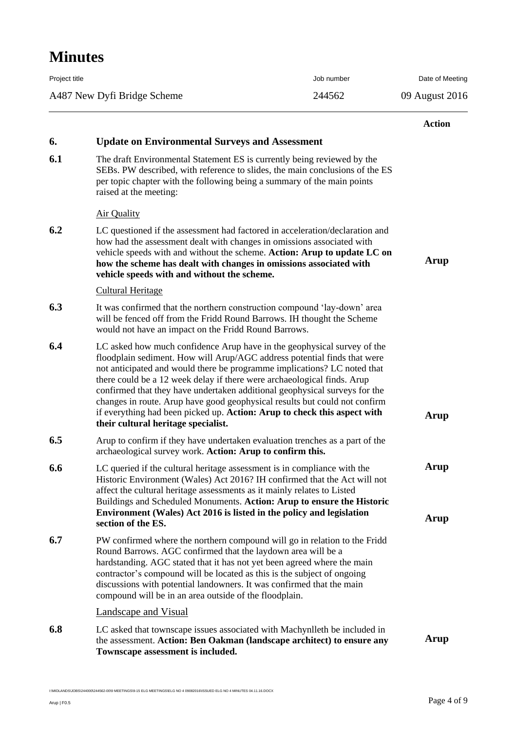| Project title               | Job number | Date of Meeting |
|-----------------------------|------------|-----------------|
| A487 New Dyfi Bridge Scheme | 244562     | 09 August 2016  |

|     |                                                                                                                                                                                                                                                                                                                                                                                                                                                                                                                                                                                           | <b>Action</b> |
|-----|-------------------------------------------------------------------------------------------------------------------------------------------------------------------------------------------------------------------------------------------------------------------------------------------------------------------------------------------------------------------------------------------------------------------------------------------------------------------------------------------------------------------------------------------------------------------------------------------|---------------|
| 6.  | <b>Update on Environmental Surveys and Assessment</b>                                                                                                                                                                                                                                                                                                                                                                                                                                                                                                                                     |               |
| 6.1 | The draft Environmental Statement ES is currently being reviewed by the<br>SEBs. PW described, with reference to slides, the main conclusions of the ES<br>per topic chapter with the following being a summary of the main points<br>raised at the meeting:                                                                                                                                                                                                                                                                                                                              |               |
|     | <b>Air Quality</b>                                                                                                                                                                                                                                                                                                                                                                                                                                                                                                                                                                        |               |
| 6.2 | LC questioned if the assessment had factored in acceleration/declaration and<br>how had the assessment dealt with changes in omissions associated with<br>vehicle speeds with and without the scheme. Action: Arup to update LC on<br>how the scheme has dealt with changes in omissions associated with<br>vehicle speeds with and without the scheme.                                                                                                                                                                                                                                   | Arup          |
|     | <b>Cultural Heritage</b>                                                                                                                                                                                                                                                                                                                                                                                                                                                                                                                                                                  |               |
| 6.3 | It was confirmed that the northern construction compound 'lay-down' area<br>will be fenced off from the Fridd Round Barrows. IH thought the Scheme<br>would not have an impact on the Fridd Round Barrows.                                                                                                                                                                                                                                                                                                                                                                                |               |
| 6.4 | LC asked how much confidence Arup have in the geophysical survey of the<br>floodplain sediment. How will Arup/AGC address potential finds that were<br>not anticipated and would there be programme implications? LC noted that<br>there could be a 12 week delay if there were archaeological finds. Arup<br>confirmed that they have undertaken additional geophysical surveys for the<br>changes in route. Arup have good geophysical results but could not confirm<br>if everything had been picked up. Action: Arup to check this aspect with<br>their cultural heritage specialist. | Arup          |
| 6.5 | Arup to confirm if they have undertaken evaluation trenches as a part of the<br>archaeological survey work. Action: Arup to confirm this.                                                                                                                                                                                                                                                                                                                                                                                                                                                 |               |
| 6.6 | LC queried if the cultural heritage assessment is in compliance with the<br>Historic Environment (Wales) Act 2016? IH confirmed that the Act will not<br>affect the cultural heritage assessments as it mainly relates to Listed<br>Buildings and Scheduled Monuments. Action: Arup to ensure the Historic<br>Environment (Wales) Act 2016 is listed in the policy and legislation<br>section of the ES.                                                                                                                                                                                  | Arup<br>Arup  |
| 6.7 | PW confirmed where the northern compound will go in relation to the Fridd<br>Round Barrows. AGC confirmed that the laydown area will be a<br>hardstanding. AGC stated that it has not yet been agreed where the main<br>contractor's compound will be located as this is the subject of ongoing<br>discussions with potential landowners. It was confirmed that the main<br>compound will be in an area outside of the floodplain.                                                                                                                                                        |               |
|     | <b>Landscape and Visual</b>                                                                                                                                                                                                                                                                                                                                                                                                                                                                                                                                                               |               |
| 6.8 | LC asked that townscape issues associated with Machynlleth be included in<br>the assessment. Action: Ben Oakman (landscape architect) to ensure any<br>Townscape assessment is included.                                                                                                                                                                                                                                                                                                                                                                                                  | Arup          |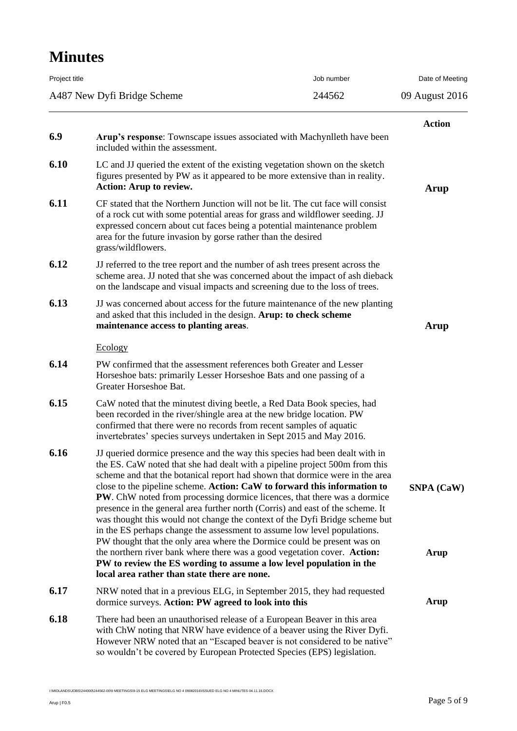| Project title |                                                                                                                                                                                                                                                                                                                                                                                                                                                                                                                                                                                                                                                                                                                                                                                                                                                                                       | Job number | Date of Meeting           |
|---------------|---------------------------------------------------------------------------------------------------------------------------------------------------------------------------------------------------------------------------------------------------------------------------------------------------------------------------------------------------------------------------------------------------------------------------------------------------------------------------------------------------------------------------------------------------------------------------------------------------------------------------------------------------------------------------------------------------------------------------------------------------------------------------------------------------------------------------------------------------------------------------------------|------------|---------------------------|
|               | A487 New Dyfi Bridge Scheme                                                                                                                                                                                                                                                                                                                                                                                                                                                                                                                                                                                                                                                                                                                                                                                                                                                           | 244562     | 09 August 2016            |
| 6.9           | Arup's response: Townscape issues associated with Machynlleth have been<br>included within the assessment.                                                                                                                                                                                                                                                                                                                                                                                                                                                                                                                                                                                                                                                                                                                                                                            |            | <b>Action</b>             |
| 6.10          | LC and JJ queried the extent of the existing vegetation shown on the sketch<br>figures presented by PW as it appeared to be more extensive than in reality.<br><b>Action: Arup to review.</b>                                                                                                                                                                                                                                                                                                                                                                                                                                                                                                                                                                                                                                                                                         |            | Arup                      |
| 6.11          | CF stated that the Northern Junction will not be lit. The cut face will consist<br>of a rock cut with some potential areas for grass and wildflower seeding. JJ<br>expressed concern about cut faces being a potential maintenance problem<br>area for the future invasion by gorse rather than the desired<br>grass/wildflowers.                                                                                                                                                                                                                                                                                                                                                                                                                                                                                                                                                     |            |                           |
| 6.12          | JJ referred to the tree report and the number of ash trees present across the<br>scheme area. JJ noted that she was concerned about the impact of ash dieback<br>on the landscape and visual impacts and screening due to the loss of trees.                                                                                                                                                                                                                                                                                                                                                                                                                                                                                                                                                                                                                                          |            |                           |
| 6.13          | JJ was concerned about access for the future maintenance of the new planting<br>and asked that this included in the design. Arup: to check scheme<br>maintenance access to planting areas.                                                                                                                                                                                                                                                                                                                                                                                                                                                                                                                                                                                                                                                                                            |            | Arup                      |
|               | Ecology                                                                                                                                                                                                                                                                                                                                                                                                                                                                                                                                                                                                                                                                                                                                                                                                                                                                               |            |                           |
| 6.14          | PW confirmed that the assessment references both Greater and Lesser<br>Horseshoe bats: primarily Lesser Horseshoe Bats and one passing of a<br>Greater Horseshoe Bat.                                                                                                                                                                                                                                                                                                                                                                                                                                                                                                                                                                                                                                                                                                                 |            |                           |
| 6.15          | CaW noted that the minutest diving beetle, a Red Data Book species, had<br>been recorded in the river/shingle area at the new bridge location. PW<br>confirmed that there were no records from recent samples of aquatic<br>invertebrates' species surveys undertaken in Sept 2015 and May 2016.                                                                                                                                                                                                                                                                                                                                                                                                                                                                                                                                                                                      |            |                           |
| 6.16          | JJ queried dormice presence and the way this species had been dealt with in<br>the ES. CaW noted that she had dealt with a pipeline project 500m from this<br>scheme and that the botanical report had shown that dormice were in the area<br>close to the pipeline scheme. Action: CaW to forward this information to<br><b>PW</b> . ChW noted from processing dormice licences, that there was a dormice<br>presence in the general area further north (Corris) and east of the scheme. It<br>was thought this would not change the context of the Dyfi Bridge scheme but<br>in the ES perhaps change the assessment to assume low level populations.<br>PW thought that the only area where the Dormice could be present was on<br>the northern river bank where there was a good vegetation cover. Action:<br>PW to review the ES wording to assume a low level population in the |            | <b>SNPA</b> (CaW)<br>Arup |
|               | local area rather than state there are none.                                                                                                                                                                                                                                                                                                                                                                                                                                                                                                                                                                                                                                                                                                                                                                                                                                          |            |                           |
| 6.17          | NRW noted that in a previous ELG, in September 2015, they had requested<br>dormice surveys. Action: PW agreed to look into this                                                                                                                                                                                                                                                                                                                                                                                                                                                                                                                                                                                                                                                                                                                                                       |            | Arup                      |
| 6.18          | There had been an unauthorised release of a European Beaver in this area<br>with ChW noting that NRW have evidence of a beaver using the River Dyfi.<br>However NRW noted that an "Escaped beaver is not considered to be native"<br>so wouldn't be covered by European Protected Species (EPS) legislation.                                                                                                                                                                                                                                                                                                                                                                                                                                                                                                                                                                          |            |                           |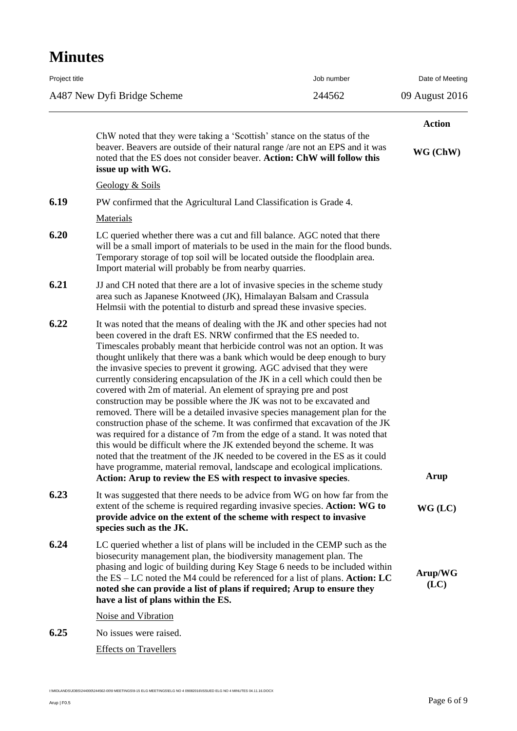| Project title |                                                                                                                                                                                                                                                                                                                                                                                                                                                                                                                                                                                                                                                                                                                                                                                                                                                                                                                                                                                                                                                                                                                                                                               | Job number | Date of Meeting |
|---------------|-------------------------------------------------------------------------------------------------------------------------------------------------------------------------------------------------------------------------------------------------------------------------------------------------------------------------------------------------------------------------------------------------------------------------------------------------------------------------------------------------------------------------------------------------------------------------------------------------------------------------------------------------------------------------------------------------------------------------------------------------------------------------------------------------------------------------------------------------------------------------------------------------------------------------------------------------------------------------------------------------------------------------------------------------------------------------------------------------------------------------------------------------------------------------------|------------|-----------------|
|               | A487 New Dyfi Bridge Scheme<br>244562                                                                                                                                                                                                                                                                                                                                                                                                                                                                                                                                                                                                                                                                                                                                                                                                                                                                                                                                                                                                                                                                                                                                         |            | 09 August 2016  |
|               |                                                                                                                                                                                                                                                                                                                                                                                                                                                                                                                                                                                                                                                                                                                                                                                                                                                                                                                                                                                                                                                                                                                                                                               |            | <b>Action</b>   |
|               | ChW noted that they were taking a 'Scottish' stance on the status of the<br>beaver. Beavers are outside of their natural range / are not an EPS and it was<br>noted that the ES does not consider beaver. Action: ChW will follow this<br>issue up with WG.                                                                                                                                                                                                                                                                                                                                                                                                                                                                                                                                                                                                                                                                                                                                                                                                                                                                                                                   |            | WG (ChW)        |
|               | Geology & Soils                                                                                                                                                                                                                                                                                                                                                                                                                                                                                                                                                                                                                                                                                                                                                                                                                                                                                                                                                                                                                                                                                                                                                               |            |                 |
| 6.19          | PW confirmed that the Agricultural Land Classification is Grade 4.                                                                                                                                                                                                                                                                                                                                                                                                                                                                                                                                                                                                                                                                                                                                                                                                                                                                                                                                                                                                                                                                                                            |            |                 |
|               | Materials                                                                                                                                                                                                                                                                                                                                                                                                                                                                                                                                                                                                                                                                                                                                                                                                                                                                                                                                                                                                                                                                                                                                                                     |            |                 |
| 6.20          | LC queried whether there was a cut and fill balance. AGC noted that there<br>will be a small import of materials to be used in the main for the flood bunds.<br>Temporary storage of top soil will be located outside the floodplain area.<br>Import material will probably be from nearby quarries.                                                                                                                                                                                                                                                                                                                                                                                                                                                                                                                                                                                                                                                                                                                                                                                                                                                                          |            |                 |
| 6.21          | JJ and CH noted that there are a lot of invasive species in the scheme study<br>area such as Japanese Knotweed (JK), Himalayan Balsam and Crassula<br>Helmsii with the potential to disturb and spread these invasive species.                                                                                                                                                                                                                                                                                                                                                                                                                                                                                                                                                                                                                                                                                                                                                                                                                                                                                                                                                |            |                 |
| 6.22          | It was noted that the means of dealing with the JK and other species had not<br>been covered in the draft ES. NRW confirmed that the ES needed to.<br>Timescales probably meant that herbicide control was not an option. It was<br>thought unlikely that there was a bank which would be deep enough to bury<br>the invasive species to prevent it growing. AGC advised that they were<br>currently considering encapsulation of the JK in a cell which could then be<br>covered with 2m of material. An element of spraying pre and post<br>construction may be possible where the JK was not to be excavated and<br>removed. There will be a detailed invasive species management plan for the<br>construction phase of the scheme. It was confirmed that excavation of the JK<br>was required for a distance of 7m from the edge of a stand. It was noted that<br>this would be difficult where the JK extended beyond the scheme. It was<br>noted that the treatment of the JK needed to be covered in the ES as it could<br>have programme, material removal, landscape and ecological implications.<br>Action: Arup to review the ES with respect to invasive species. |            | Arup            |
| 6.23          | It was suggested that there needs to be advice from WG on how far from the<br>extent of the scheme is required regarding invasive species. Action: WG to<br>provide advice on the extent of the scheme with respect to invasive<br>species such as the JK.                                                                                                                                                                                                                                                                                                                                                                                                                                                                                                                                                                                                                                                                                                                                                                                                                                                                                                                    |            | $WG$ (LC)       |
| 6.24          | LC queried whether a list of plans will be included in the CEMP such as the<br>biosecurity management plan, the biodiversity management plan. The<br>phasing and logic of building during Key Stage 6 needs to be included within<br>the $ES - LC$ noted the M4 could be referenced for a list of plans. Action: LC<br>noted she can provide a list of plans if required; Arup to ensure they<br>have a list of plans within the ES.                                                                                                                                                                                                                                                                                                                                                                                                                                                                                                                                                                                                                                                                                                                                          |            | Arup/WG<br>(LC) |
|               | Noise and Vibration                                                                                                                                                                                                                                                                                                                                                                                                                                                                                                                                                                                                                                                                                                                                                                                                                                                                                                                                                                                                                                                                                                                                                           |            |                 |
| 6.25          | No issues were raised.                                                                                                                                                                                                                                                                                                                                                                                                                                                                                                                                                                                                                                                                                                                                                                                                                                                                                                                                                                                                                                                                                                                                                        |            |                 |
|               | <b>Effects on Travellers</b>                                                                                                                                                                                                                                                                                                                                                                                                                                                                                                                                                                                                                                                                                                                                                                                                                                                                                                                                                                                                                                                                                                                                                  |            |                 |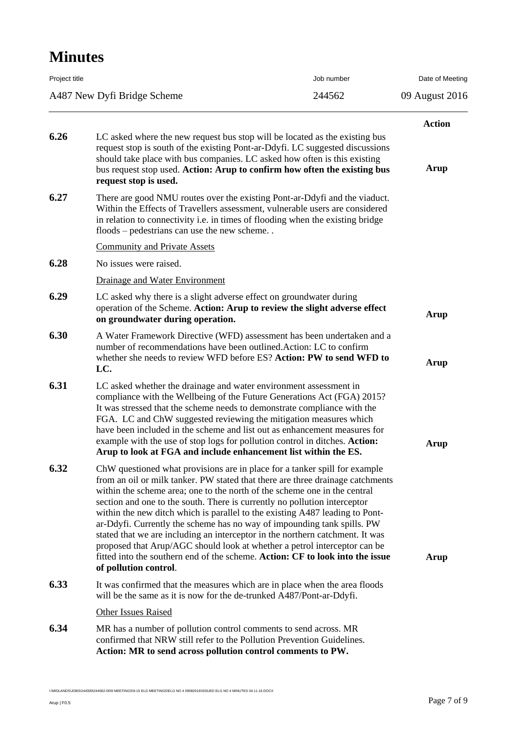| Job number<br>Project title<br>244562<br>A487 New Dyfi Bridge Scheme |                                                                                                                                                                                                                                                                                                                                                                                                                                                                                                                                                                                                                                                                                                                                                           |  | Date of Meeting<br>09 August 2016 |
|----------------------------------------------------------------------|-----------------------------------------------------------------------------------------------------------------------------------------------------------------------------------------------------------------------------------------------------------------------------------------------------------------------------------------------------------------------------------------------------------------------------------------------------------------------------------------------------------------------------------------------------------------------------------------------------------------------------------------------------------------------------------------------------------------------------------------------------------|--|-----------------------------------|
|                                                                      |                                                                                                                                                                                                                                                                                                                                                                                                                                                                                                                                                                                                                                                                                                                                                           |  |                                   |
| 6.26                                                                 | LC asked where the new request bus stop will be located as the existing bus                                                                                                                                                                                                                                                                                                                                                                                                                                                                                                                                                                                                                                                                               |  | <b>Action</b>                     |
|                                                                      | request stop is south of the existing Pont-ar-Ddyfi. LC suggested discussions<br>should take place with bus companies. LC asked how often is this existing<br>bus request stop used. Action: Arup to confirm how often the existing bus<br>request stop is used.                                                                                                                                                                                                                                                                                                                                                                                                                                                                                          |  | Arup                              |
| 6.27                                                                 | There are good NMU routes over the existing Pont-ar-Ddyfi and the viaduct.<br>Within the Effects of Travellers assessment, vulnerable users are considered<br>in relation to connectivity i.e. in times of flooding when the existing bridge<br>floods – pedestrians can use the new scheme                                                                                                                                                                                                                                                                                                                                                                                                                                                               |  |                                   |
|                                                                      | <b>Community and Private Assets</b>                                                                                                                                                                                                                                                                                                                                                                                                                                                                                                                                                                                                                                                                                                                       |  |                                   |
| 6.28                                                                 | No issues were raised.                                                                                                                                                                                                                                                                                                                                                                                                                                                                                                                                                                                                                                                                                                                                    |  |                                   |
|                                                                      | Drainage and Water Environment                                                                                                                                                                                                                                                                                                                                                                                                                                                                                                                                                                                                                                                                                                                            |  |                                   |
| 6.29                                                                 | LC asked why there is a slight adverse effect on groundwater during<br>operation of the Scheme. Action: Arup to review the slight adverse effect<br>on groundwater during operation.                                                                                                                                                                                                                                                                                                                                                                                                                                                                                                                                                                      |  | Arup                              |
| 6.30                                                                 | A Water Framework Directive (WFD) assessment has been undertaken and a<br>number of recommendations have been outlined. Action: LC to confirm<br>whether she needs to review WFD before ES? Action: PW to send WFD to<br>LC.                                                                                                                                                                                                                                                                                                                                                                                                                                                                                                                              |  | <b>Arup</b>                       |
| 6.31                                                                 | LC asked whether the drainage and water environment assessment in<br>compliance with the Wellbeing of the Future Generations Act (FGA) 2015?<br>It was stressed that the scheme needs to demonstrate compliance with the<br>FGA. LC and ChW suggested reviewing the mitigation measures which<br>have been included in the scheme and list out as enhancement measures for<br>example with the use of stop logs for pollution control in ditches. Action:<br>Arup to look at FGA and include enhancement list within the ES.                                                                                                                                                                                                                              |  | Arup                              |
| 6.32                                                                 | ChW questioned what provisions are in place for a tanker spill for example<br>from an oil or milk tanker. PW stated that there are three drainage catchments<br>within the scheme area; one to the north of the scheme one in the central<br>section and one to the south. There is currently no pollution interceptor<br>within the new ditch which is parallel to the existing A487 leading to Pont-<br>ar-Ddyfi. Currently the scheme has no way of impounding tank spills. PW<br>stated that we are including an interceptor in the northern catchment. It was<br>proposed that Arup/AGC should look at whether a petrol interceptor can be<br>fitted into the southern end of the scheme. Action: CF to look into the issue<br>of pollution control. |  | Arup                              |
| 6.33                                                                 | It was confirmed that the measures which are in place when the area floods<br>will be the same as it is now for the de-trunked A487/Pont-ar-Ddyfi.                                                                                                                                                                                                                                                                                                                                                                                                                                                                                                                                                                                                        |  |                                   |
|                                                                      | <b>Other Issues Raised</b>                                                                                                                                                                                                                                                                                                                                                                                                                                                                                                                                                                                                                                                                                                                                |  |                                   |
| 6.34                                                                 | MR has a number of pollution control comments to send across. MR<br>confirmed that NRW still refer to the Pollution Prevention Guidelines.<br>Action: MR to send across pollution control comments to PW.                                                                                                                                                                                                                                                                                                                                                                                                                                                                                                                                                 |  |                                   |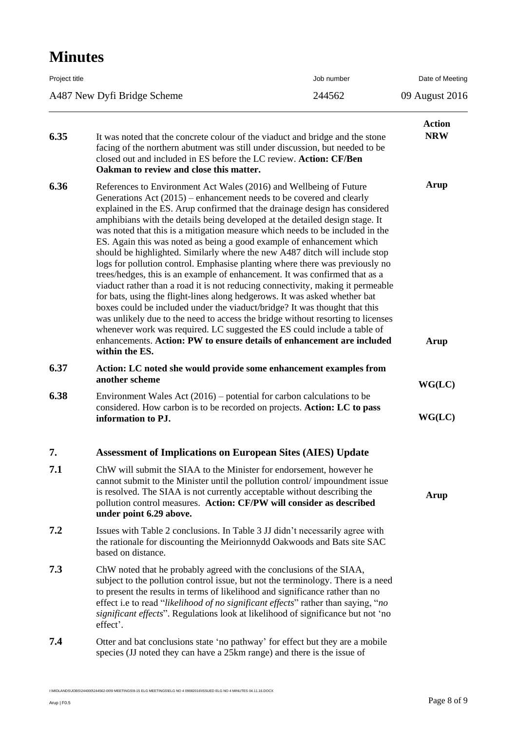| Project title |                                                                                                                                                                                                                                                                                                                                                                                                                                                                                                                                                                                                                                                                                                                                                                                                                                                                                                                                                                                                                                                                                                                                                                                                                               | Job number | Date of Meeting             |
|---------------|-------------------------------------------------------------------------------------------------------------------------------------------------------------------------------------------------------------------------------------------------------------------------------------------------------------------------------------------------------------------------------------------------------------------------------------------------------------------------------------------------------------------------------------------------------------------------------------------------------------------------------------------------------------------------------------------------------------------------------------------------------------------------------------------------------------------------------------------------------------------------------------------------------------------------------------------------------------------------------------------------------------------------------------------------------------------------------------------------------------------------------------------------------------------------------------------------------------------------------|------------|-----------------------------|
|               | A487 New Dyfi Bridge Scheme<br>244562                                                                                                                                                                                                                                                                                                                                                                                                                                                                                                                                                                                                                                                                                                                                                                                                                                                                                                                                                                                                                                                                                                                                                                                         |            | 09 August 2016              |
| 6.35          | It was noted that the concrete colour of the viaduct and bridge and the stone<br>facing of the northern abutment was still under discussion, but needed to be<br>closed out and included in ES before the LC review. Action: CF/Ben<br>Oakman to review and close this matter.                                                                                                                                                                                                                                                                                                                                                                                                                                                                                                                                                                                                                                                                                                                                                                                                                                                                                                                                                |            | <b>Action</b><br><b>NRW</b> |
| 6.36          | References to Environment Act Wales (2016) and Wellbeing of Future<br>Generations Act $(2015)$ – enhancement needs to be covered and clearly<br>explained in the ES. Arup confirmed that the drainage design has considered<br>amphibians with the details being developed at the detailed design stage. It<br>was noted that this is a mitigation measure which needs to be included in the<br>ES. Again this was noted as being a good example of enhancement which<br>should be highlighted. Similarly where the new A487 ditch will include stop<br>logs for pollution control. Emphasise planting where there was previously no<br>trees/hedges, this is an example of enhancement. It was confirmed that as a<br>viaduct rather than a road it is not reducing connectivity, making it permeable<br>for bats, using the flight-lines along hedgerows. It was asked whether bat<br>boxes could be included under the viaduct/bridge? It was thought that this<br>was unlikely due to the need to access the bridge without resorting to licenses<br>whenever work was required. LC suggested the ES could include a table of<br>enhancements. Action: PW to ensure details of enhancement are included<br>within the ES. |            | Arup<br>Arup                |
| 6.37          | Action: LC noted she would provide some enhancement examples from<br>another scheme                                                                                                                                                                                                                                                                                                                                                                                                                                                                                                                                                                                                                                                                                                                                                                                                                                                                                                                                                                                                                                                                                                                                           |            | WG(LC)                      |
| 6.38          | Environment Wales Act $(2016)$ – potential for carbon calculations to be<br>considered. How carbon is to be recorded on projects. Action: LC to pass<br>information to PJ.                                                                                                                                                                                                                                                                                                                                                                                                                                                                                                                                                                                                                                                                                                                                                                                                                                                                                                                                                                                                                                                    |            | WG(LC)                      |
| 7.            | <b>Assessment of Implications on European Sites (AIES) Update</b>                                                                                                                                                                                                                                                                                                                                                                                                                                                                                                                                                                                                                                                                                                                                                                                                                                                                                                                                                                                                                                                                                                                                                             |            |                             |
| 7.1           | ChW will submit the SIAA to the Minister for endorsement, however he<br>cannot submit to the Minister until the pollution control/impoundment issue<br>is resolved. The SIAA is not currently acceptable without describing the<br>pollution control measures. Action: CF/PW will consider as described<br>under point 6.29 above.                                                                                                                                                                                                                                                                                                                                                                                                                                                                                                                                                                                                                                                                                                                                                                                                                                                                                            |            | Arup                        |
| 7.2           | Issues with Table 2 conclusions. In Table 3 JJ didn't necessarily agree with<br>the rationale for discounting the Meirionnydd Oakwoods and Bats site SAC<br>based on distance.                                                                                                                                                                                                                                                                                                                                                                                                                                                                                                                                                                                                                                                                                                                                                                                                                                                                                                                                                                                                                                                |            |                             |
| 7.3           | ChW noted that he probably agreed with the conclusions of the SIAA,<br>subject to the pollution control issue, but not the terminology. There is a need<br>to present the results in terms of likelihood and significance rather than no<br>effect i.e to read "likelihood of no significant effects" rather than saying, "no<br>significant effects". Regulations look at likelihood of significance but not 'no<br>effect'.                                                                                                                                                                                                                                                                                                                                                                                                                                                                                                                                                                                                                                                                                                                                                                                                 |            |                             |
| 7.4           | Otter and bat conclusions state 'no pathway' for effect but they are a mobile<br>species (JJ noted they can have a 25km range) and there is the issue of                                                                                                                                                                                                                                                                                                                                                                                                                                                                                                                                                                                                                                                                                                                                                                                                                                                                                                                                                                                                                                                                      |            |                             |